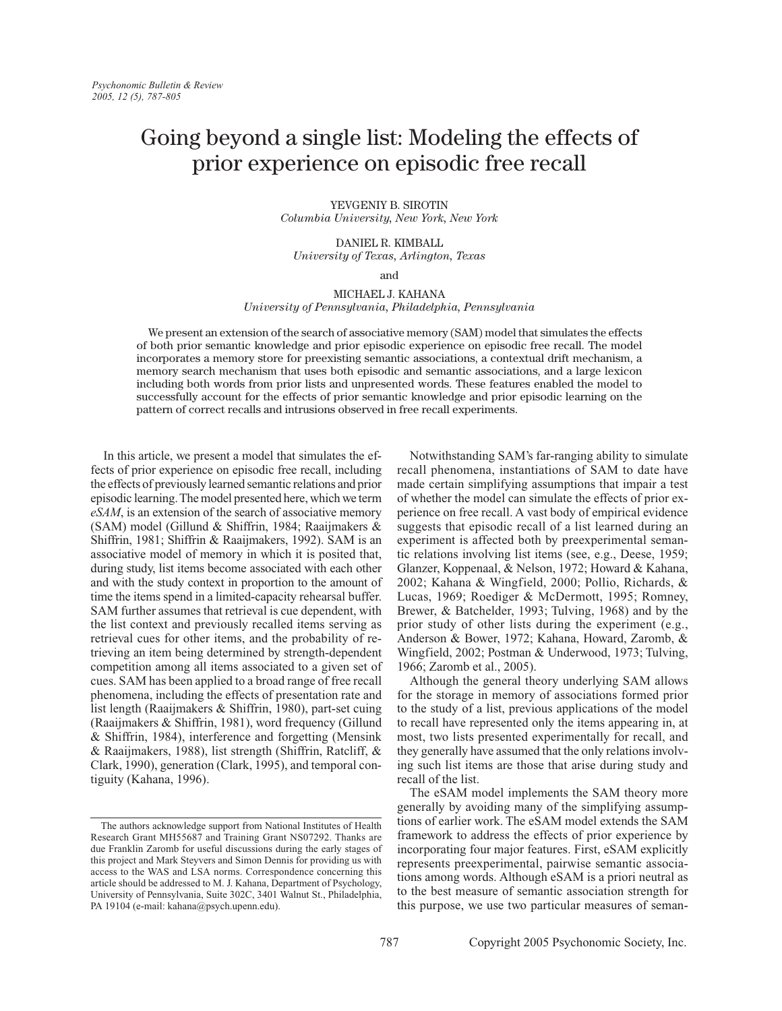# Going beyond a single list: Modeling the effects of prior experience on episodic free recall

YEVGENIY B. SIROTIN Columbia University, New York, New York

DANIEL R. KIMBALL University of Texas, Arlington, Texas

and

## MICHAEL J. KAHANA University of Pennsylvania, Philadelphia, Pennsylvania

We present an extension of the search of associative memory (SAM) model that simulates the effects of both prior semantic knowledge and prior episodic experience on episodic free recall. The model incorporates a memory store for preexisting semantic associations, a contextual drift mechanism, a memory search mechanism that uses both episodic and semantic associations, and a large lexicon including both words from prior lists and unpresented words. These features enabled the model to successfully account for the effects of prior semantic knowledge and prior episodic learning on the pattern of correct recalls and intrusions observed in free recall experiments.

In this article, we present a model that simulates the effects of prior experience on episodic free recall, including the effects of previously learned semantic relations and prior episodic learning. The model presented here, which we term eSAM, is an extension of the search of associative memory (SAM) model (Gillund & Shiffrin, 1984; Raaijmakers & Shiffrin, 1981; Shiffrin & Raaijmakers, 1992). SAM is an associative model of memory in which it is posited that, during study, list items become associated with each other and with the study context in proportion to the amount of time the items spend in a limited-capacity rehearsal buffer. SAM further assumes that retrieval is cue dependent, with the list context and previously recalled items serving as retrieval cues for other items, and the probability of retrieving an item being determined by strength-dependent competition among all items associated to a given set of cues. SAM has been applied to a broad range of free recall phenomena, including the effects of presentation rate and list length (Raaijmakers & Shiffrin, 1980), part-set cuing (Raaijmakers & Shiffrin, 1981), word frequency (Gillund & Shiffrin, 1984), interference and forgetting (Mensink & Raaijmakers, 1988), list strength (Shiffrin, Ratcliff, & Clark, 1990), generation (Clark, 1995), and temporal contiguity (Kahana, 1996).

Notwithstanding SAM's far-ranging ability to simulate recall phenomena, instantiations of SAM to date have made certain simplifying assumptions that impair a test of whether the model can simulate the effects of prior experience on free recall. A vast body of empirical evidence suggests that episodic recall of a list learned during an experiment is affected both by preexperimental semantic relations involving list items (see, e.g., Deese, 1959; Glanzer, Koppenaal, & Nelson, 1972; Howard & Kahana, 2002; Kahana & Wingfield, 2000; Pollio, Richards, & Lucas, 1969; Roediger & McDermott, 1995; Romney, Brewer, & Batchelder, 1993; Tulving, 1968) and by the prior study of other lists during the experiment (e.g., Anderson & Bower, 1972; Kahana, Howard, Zaromb, & Wingfield, 2002; Postman & Underwood, 1973; Tulving, 1966; Zaromb et al., 2005).

Although the general theory underlying SAM allows for the storage in memory of associations formed prior to the study of a list, previous applications of the model to recall have represented only the items appearing in, at most, two lists presented experimentally for recall, and they generally have assumed that the only relations involving such list items are those that arise during study and recall of the list.

The eSAM model implements the SAM theory more generally by avoiding many of the simplifying assumptions of earlier work. The eSAM model extends the SAM framework to address the effects of prior experience by incorporating four major features. First, eSAM explicitly represents preexperimental, pairwise semantic associations among words. Although eSAM is a priori neutral as to the best measure of semantic association strength for this purpose, we use two particular measures of seman-

The authors acknowledge support from National Institutes of Health Research Grant MH55687 and Training Grant NS07292. Thanks are due Franklin Zaromb for useful discussions during the early stages of this project and Mark Steyvers and Simon Dennis for providing us with access to the WAS and LSA norms. Correspondence concerning this article should be addressed to M. J. Kahana, Department of Psychology, University of Pennsylvania, Suite 302C, 3401 Walnut St., Philadelphia, PA 19104 (e-mail: kahana@psych.upenn.edu).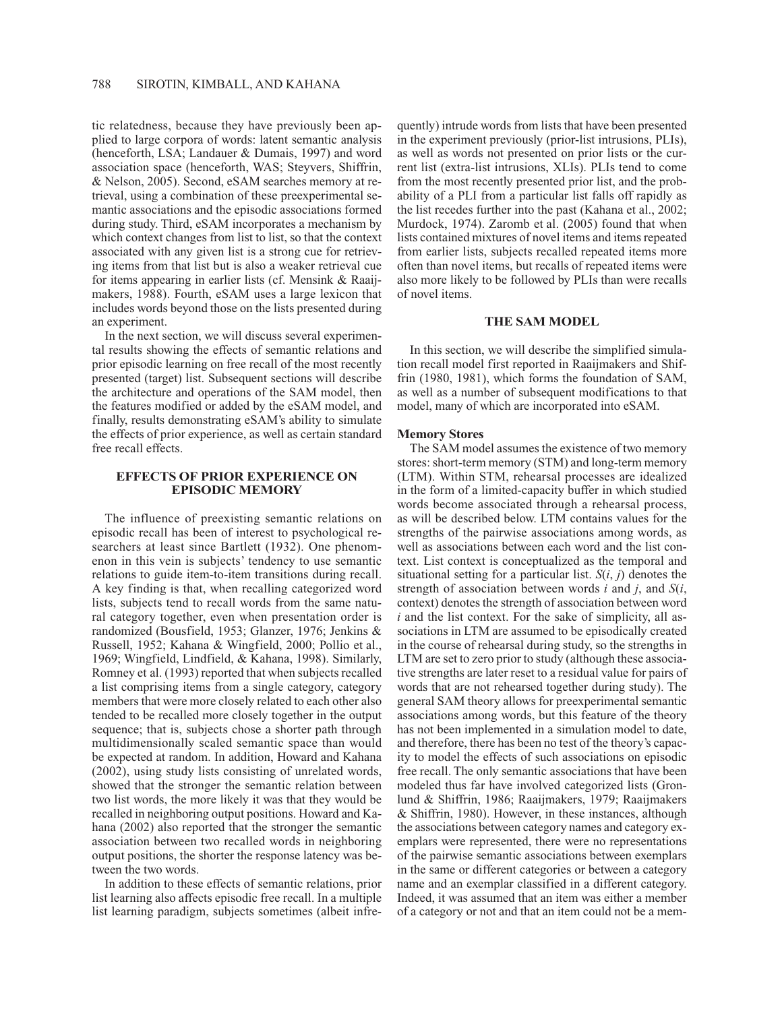tic relatedness, because they have previously been applied to large corpora of words: latent semantic analysis (henceforth, LSA; Landauer & Dumais, 1997) and word association space (henceforth, WAS; Steyvers, Shiffrin, & Nelson, 2005). Second, eSAM searches memory at retrieval, using a combination of these preexperimental semantic associations and the episodic associations formed during study. Third, eSAM incorporates a mechanism by which context changes from list to list, so that the context associated with any given list is a strong cue for retrieving items from that list but is also a weaker retrieval cue for items appearing in earlier lists (cf. Mensink & Raaijmakers, 1988). Fourth, eSAM uses a large lexicon that includes words beyond those on the lists presented during an experiment.

In the next section, we will discuss several experimental results showing the effects of semantic relations and prior episodic learning on free recall of the most recently presented (target) list. Subsequent sections will describe the architecture and operations of the SAM model, then the features modified or added by the eSAM model, and finally, results demonstrating eSAM's ability to simulate the effects of prior experience, as well as certain standard free recall effects

## **EFFECTS OF PRIOR EXPERIENCE ON EPISODIC MEMORY**

The influence of preexisting semantic relations on episodic recall has been of interest to psychological researchers at least since Bartlett (1932). One phenomenon in this vein is subjects' tendency to use semantic relations to guide item-to-item transitions during recall. A key finding is that, when recalling categorized word lists, subjects tend to recall words from the same natural category together, even when presentation order is randomized (Bousfield, 1953; Glanzer, 1976; Jenkins & Russell, 1952; Kahana & Wingfield, 2000; Pollio et al., 1969; Wingfield, Lindfield, & Kahana, 1998). Similarly, Romney et al. (1993) reported that when subjects recalled a list comprising items from a single category, category members that were more closely related to each other also tended to be recalled more closely together in the output sequence; that is, subjects chose a shorter path through multidimensionally scaled semantic space than would be expected at random. In addition, Howard and Kahana (2002), using study lists consisting of unrelated words, showed that the stronger the semantic relation between two list words, the more likely it was that they would be recalled in neighboring output positions. Howard and Kahana (2002) also reported that the stronger the semantic association between two recalled words in neighboring output positions, the shorter the response latency was between the two words.

In addition to these effects of semantic relations, prior list learning also affects episodic free recall. In a multiple list learning paradigm, subjects sometimes (albeit infrequently) intrude words from lists that have been presented in the experiment previously (prior-list intrusions, PLIs), as well as words not presented on prior lists or the current list (extra-list intrusions, XLIs). PLIs tend to come from the most recently presented prior list, and the probability of a PLI from a particular list falls off rapidly as the list recedes further into the past (Kahana et al., 2002; Murdock, 1974). Zaromb et al. (2005) found that when lists contained mixtures of novel items and items repeated from earlier lists, subjects recalled repeated items more often than novel items, but recalls of repeated items were also more likely to be followed by PLIs than were recalls of novel items.

## **THE SAM MODEL**

In this section, we will describe the simplified simulation recall model first reported in Raaijmakers and Shiffrin (1980, 1981), which forms the foundation of SAM, as well as a number of subsequent modifications to that model, many of which are incorporated into eSAM.

#### **Memory Stores**

The SAM model assumes the existence of two memory stores: short-term memory (STM) and long-term memory (LTM). Within STM, rehearsal processes are idealized in the form of a limited-capacity buffer in which studied words become associated through a rehearsal process, as will be described below. LTM contains values for the strengths of the pairwise associations among words, as well as associations between each word and the list context. List context is conceptualized as the temporal and situational setting for a particular list.  $S(i, j)$  denotes the strength of association between words  $i$  and  $j$ , and  $S(i)$ , context) denotes the strength of association between word *i* and the list context. For the sake of simplicity, all associations in LTM are assumed to be episodically created in the course of rehearsal during study, so the strengths in LTM are set to zero prior to study (although these associative strengths are later reset to a residual value for pairs of words that are not rehearsed together during study). The general SAM theory allows for preexperimental semantic associations among words, but this feature of the theory has not been implemented in a simulation model to date, and therefore, there has been no test of the theory's capacity to model the effects of such associations on episodic free recall. The only semantic associations that have been modeled thus far have involved categorized lists (Gronlund & Shiffrin, 1986; Raaijmakers, 1979; Raaijmakers & Shiffrin, 1980). However, in these instances, although the associations between category names and category exemplars were represented, there were no representations of the pairwise semantic associations between exemplars in the same or different categories or between a category name and an exemplar classified in a different category. Indeed, it was assumed that an item was either a member of a category or not and that an item could not be a mem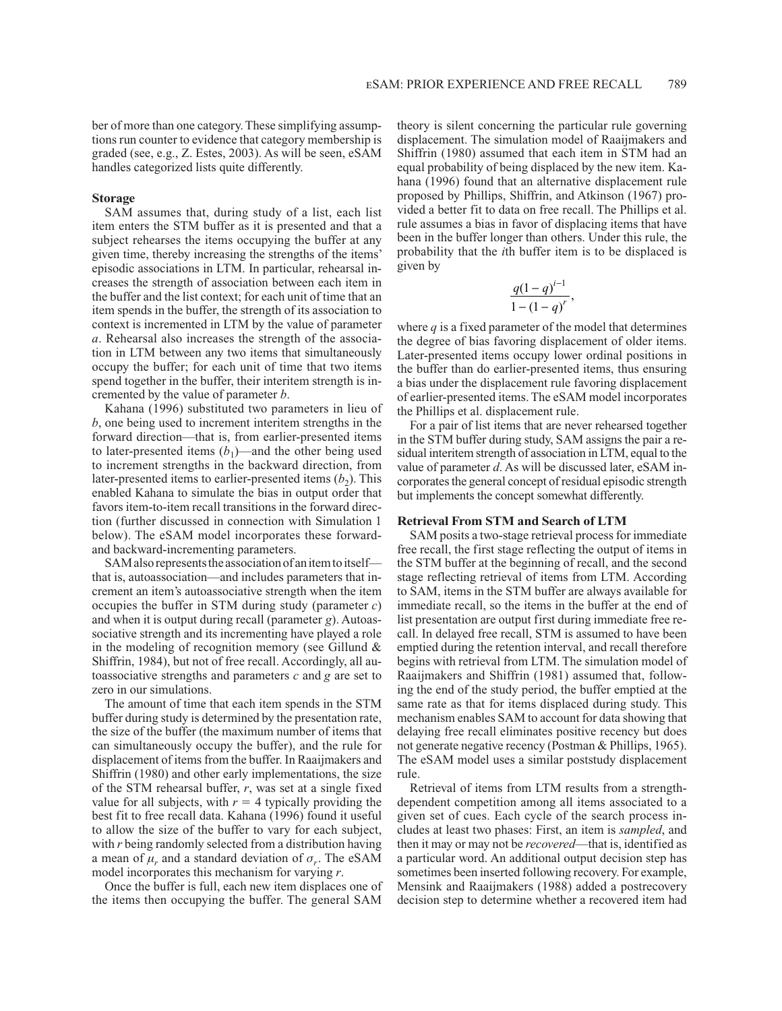ber of more than one category. These simplifying assumptions run counter to evidence that category membership is graded (see, e.g., Z. Estes, 2003). As will be seen, eSAM handles categorized lists quite differently.

#### **Storage**

SAM assumes that, during study of a list, each list item enters the STM buffer as it is presented and that a subject rehearses the items occupying the buffer at any given time, thereby increasing the strengths of the items' episodic associations in LTM. In particular, rehearsal increases the strength of association between each item in the buffer and the list context: for each unit of time that an item spends in the buffer, the strength of its association to context is incremented in LTM by the value of parameter a. Rehearsal also increases the strength of the association in LTM between any two items that simultaneously occupy the buffer; for each unit of time that two items spend together in the buffer, their interitem strength is incremented by the value of parameter *b*.

Kahana (1996) substituted two parameters in lieu of  $b$ , one being used to increment interitem strengths in the forward direction—that is, from earlier-presented items to later-presented items  $(b_1)$ —and the other being used to increment strengths in the backward direction, from later-presented items to earlier-presented items  $(b_2)$ . This enabled Kahana to simulate the bias in output order that favors item-to-item recall transitions in the forward direction (further discussed in connection with Simulation 1) below). The eSAM model incorporates these forwardand backward-incrementing parameters.

SAM also represents the association of an item to itself that is, autoassociation—and includes parameters that increment an item's autoassociative strength when the item occupies the buffer in STM during study (parameter  $c$ ) and when it is output during recall (parameter  $g$ ). Autoassociative strength and its incrementing have played a role in the modeling of recognition memory (see Gillund  $\&$ Shiffrin, 1984), but not of free recall. Accordingly, all auto associative strengths and parameters  $c$  and  $g$  are set to zero in our simulations.

The amount of time that each item spends in the STM buffer during study is determined by the presentation rate, the size of the buffer (the maximum number of items that can simultaneously occupy the buffer), and the rule for displacement of items from the buffer. In Raaijmakers and Shiffrin (1980) and other early implementations, the size of the STM rehearsal buffer,  $r$ , was set at a single fixed value for all subjects, with  $r = 4$  typically providing the best fit to free recall data. Kahana (1996) found it useful to allow the size of the buffer to vary for each subject, with  $r$  being randomly selected from a distribution having a mean of  $\mu_r$  and a standard deviation of  $\sigma_r$ . The eSAM model incorporates this mechanism for varying  $r$ .

Once the buffer is full, each new item displaces one of the items then occupying the buffer. The general SAM

theory is silent concerning the particular rule governing displacement. The simulation model of Raaijmakers and Shiffrin (1980) assumed that each item in STM had an equal probability of being displaced by the new item. Kahana (1996) found that an alternative displacement rule proposed by Phillips, Shiffrin, and Atkinson (1967) provided a better fit to data on free recall. The Phillips et al. rule assumes a bias in favor of displacing items that have been in the buffer longer than others. Under this rule, the probability that the *i*th buffer item is to be displaced is given by

$$
\frac{q(1-q)^{i-1}}{1-(1-q)^r},
$$

where  $q$  is a fixed parameter of the model that determines the degree of bias favoring displacement of older items. Later-presented items occupy lower ordinal positions in the buffer than do earlier-presented items, thus ensuring a bias under the displacement rule favoring displacement of earlier-presented items. The eSAM model incorporates the Phillips et al. displacement rule.

For a pair of list items that are never rehearsed together in the STM buffer during study, SAM assigns the pair a residual interitem strength of association in LTM, equal to the value of parameter d. As will be discussed later, eSAM incorporates the general concept of residual episodic strength but implements the concept somewhat differently.

## **Retrieval From STM and Search of LTM**

SAM posits a two-stage retrieval process for immediate free recall, the first stage reflecting the output of items in the STM buffer at the beginning of recall, and the second stage reflecting retrieval of items from LTM. According to SAM, items in the STM buffer are always available for immediate recall, so the items in the buffer at the end of list presentation are output first during immediate free recall. In delayed free recall, STM is assumed to have been emptied during the retention interval, and recall therefore begins with retrieval from LTM. The simulation model of Raaijmakers and Shiffrin (1981) assumed that, following the end of the study period, the buffer emptied at the same rate as that for items displaced during study. This mechanism enables SAM to account for data showing that delaying free recall eliminates positive recency but does not generate negative recency (Postman & Phillips, 1965). The eSAM model uses a similar poststudy displacement rule.

Retrieval of items from LTM results from a strengthdependent competition among all items associated to a given set of cues. Each cycle of the search process includes at least two phases: First, an item is *sampled*, and then it may or may not be *recovered*—that is, identified as a particular word. An additional output decision step has sometimes been inserted following recovery. For example, Mensink and Raaijmakers (1988) added a postrecovery decision step to determine whether a recovered item had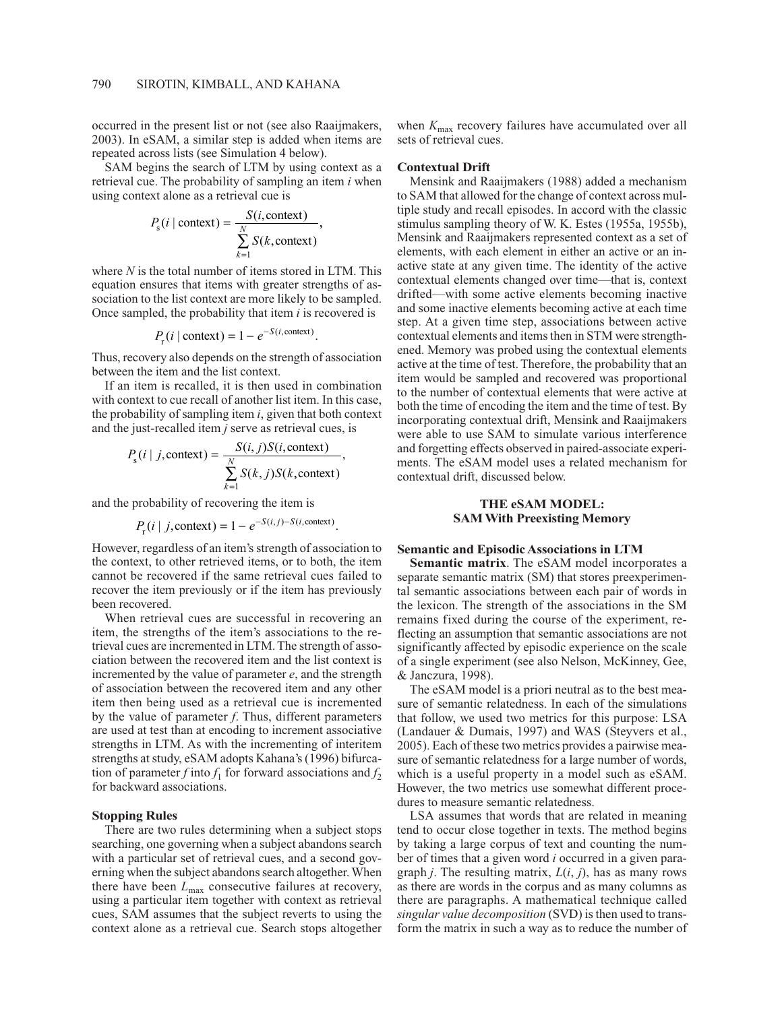occurred in the present list or not (see also Raaijmakers, 2003). In eSAM, a similar step is added when items are repeated across lists (see Simulation 4 below).

SAM begins the search of LTM by using context as a retrieval cue. The probability of sampling an item  $i$  when using context alone as a retrieval cue is

$$
P_{\rm s}(i \mid \text{context}) = \frac{S(i, \text{context})}{\sum_{k=1}^{N} S(k, \text{context})},
$$

where  $N$  is the total number of items stored in LTM. This equation ensures that items with greater strengths of association to the list context are more likely to be sampled. Once sampled, the probability that item  $i$  is recovered is

$$
P_{\rm r}(i \mid \text{context}) = 1 - e^{-S(i, \text{context})}
$$

Thus, recovery also depends on the strength of association between the item and the list context.

If an item is recalled, it is then used in combination with context to cue recall of another list item. In this case, the probability of sampling item  $i$ , given that both context and the just-recalled item *j* serve as retrieval cues, is

$$
P_{\rm s}(i \mid j, \text{context}) = \frac{S(i, j)S(i, \text{context})}{\sum_{k=1}^{N} S(k, j)S(k, \text{context})},
$$

and the probability of recovering the item is

$$
P_{\rm r}(i \mid j, \text{context}) = 1 - e^{-S(i,j) - S(i, \text{context})}
$$

However, regardless of an item's strength of association to the context, to other retrieved items, or to both, the item cannot be recovered if the same retrieval cues failed to recover the item previously or if the item has previously been recovered.

When retrieval cues are successful in recovering an item, the strengths of the item's associations to the retrieval cues are incremented in LTM. The strength of association between the recovered item and the list context is incremented by the value of parameter  $e$ , and the strength of association between the recovered item and any other item then being used as a retrieval cue is incremented by the value of parameter  $f$ . Thus, different parameters are used at test than at encoding to increment associative strengths in LTM. As with the incrementing of interitem strengths at study, eSAM adopts Kahana's (1996) bifurcation of parameter f into  $f_1$  for forward associations and  $f_2$ for backward associations.

## **Stopping Rules**

There are two rules determining when a subject stops searching, one governing when a subject abandons search with a particular set of retrieval cues, and a second governing when the subject abandons search altogether. When there have been  $L_{\text{max}}$  consecutive failures at recovery, using a particular item together with context as retrieval cues, SAM assumes that the subject reverts to using the context alone as a retrieval cue. Search stops altogether when  $K_{\text{max}}$  recovery failures have accumulated over all sets of retrieval cues.

#### **Contextual Drift**

Mensink and Raaijmakers (1988) added a mechanism to SAM that allowed for the change of context across multiple study and recall episodes. In accord with the classic stimulus sampling theory of W. K. Estes (1955a, 1955b), Mensink and Raaijmakers represented context as a set of elements, with each element in either an active or an inactive state at any given time. The identity of the active contextual elements changed over time—that is, context drifted—with some active elements becoming inactive and some inactive elements becoming active at each time step. At a given time step, associations between active contextual elements and items then in STM were strengthened. Memory was probed using the contextual elements active at the time of test. Therefore, the probability that an item would be sampled and recovered was proportional to the number of contextual elements that were active at both the time of encoding the item and the time of test. By incorporating contextual drift, Mensink and Raaijmakers were able to use SAM to simulate various interference and forgetting effects observed in paired-associate experiments. The eSAM model uses a related mechanism for contextual drift, discussed below.

## **THE eSAM MODEL: SAM With Preexisting Memory**

# **Semantic and Episodic Associations in LTM**

Semantic matrix. The eSAM model incorporates a separate semantic matrix (SM) that stores preexperimental semantic associations between each pair of words in the lexicon. The strength of the associations in the SM remains fixed during the course of the experiment, reflecting an assumption that semantic associations are not significantly affected by episodic experience on the scale of a single experiment (see also Nelson, McKinney, Gee, & Janczura, 1998).

The eSAM model is a priori neutral as to the best measure of semantic relatedness. In each of the simulations that follow, we used two metrics for this purpose: LSA (Landauer & Dumais, 1997) and WAS (Steyvers et al., 2005). Each of these two metrics provides a pairwise measure of semantic relatedness for a large number of words, which is a useful property in a model such as eSAM. However, the two metrics use somewhat different procedures to measure semantic relatedness.

LSA assumes that words that are related in meaning tend to occur close together in texts. The method begins by taking a large corpus of text and counting the number of times that a given word *i* occurred in a given paragraph *j*. The resulting matrix,  $L(i, j)$ , has as many rows as there are words in the corpus and as many columns as there are paragraphs. A mathematical technique called singular value decomposition (SVD) is then used to transform the matrix in such a way as to reduce the number of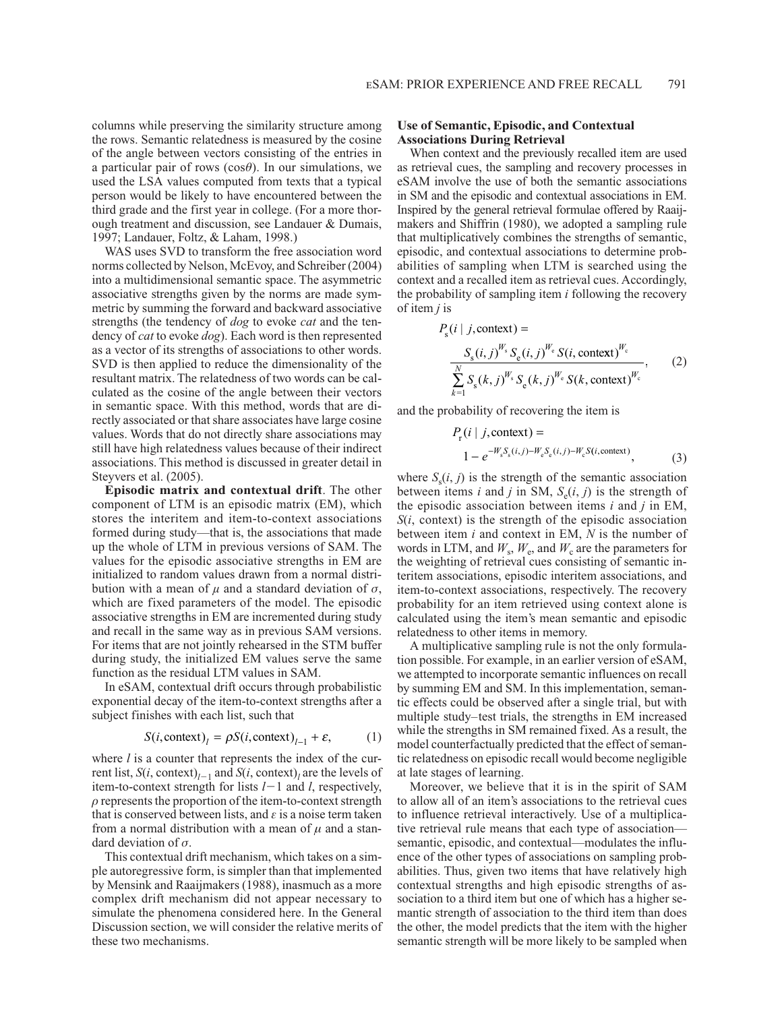columns while preserving the similarity structure among the rows. Semantic relatedness is measured by the cosine of the angle between vectors consisting of the entries in a particular pair of rows ( $cos\theta$ ). In our simulations, we used the LSA values computed from texts that a typical person would be likely to have encountered between the third grade and the first year in college. (For a more thorough treatment and discussion, see Landauer & Dumais, 1997; Landauer, Foltz, & Laham, 1998.)

WAS uses SVD to transform the free association word norms collected by Nelson, McEvoy, and Schreiber (2004) into a multidimensional semantic space. The asymmetric associative strengths given by the norms are made symmetric by summing the forward and backward associative strengths (the tendency of *dog* to evoke *cat* and the tendency of *cat* to evoke *dog*). Each word is then represented as a vector of its strengths of associations to other words. SVD is then applied to reduce the dimensionality of the resultant matrix. The relatedness of two words can be calculated as the cosine of the angle between their vectors in semantic space. With this method, words that are directly associated or that share associates have large cosine values. Words that do not directly share associations may still have high relatedness values because of their indirect associations. This method is discussed in greater detail in Steyvers et al. (2005).

Episodic matrix and contextual drift. The other component of LTM is an episodic matrix (EM), which stores the interitem and item-to-context associations formed during study—that is, the associations that made up the whole of LTM in previous versions of SAM. The values for the episodic associative strengths in EM are. initialized to random values drawn from a normal distribution with a mean of  $\mu$  and a standard deviation of  $\sigma$ , which are fixed parameters of the model. The episodic associative strengths in EM are incremented during study and recall in the same way as in previous SAM versions. For items that are not jointly rehearsed in the STM buffer during study, the initialized EM values serve the same function as the residual LTM values in SAM.

In eSAM, contextual drift occurs through probabilistic exponential decay of the item-to-context strengths after a subject finishes with each list, such that

$$
S(i, \text{context})_i = \rho S(i, \text{context})_{i-1} + \varepsilon,\tag{1}
$$

where  $l$  is a counter that represents the index of the current list,  $S(i, \text{context})_{i-1}$  and  $S(i, \text{context})_i$  are the levels of item-to-context strength for lists  $l-1$  and l, respectively,  $\rho$  represents the proportion of the item-to-context strength that is conserved between lists, and  $\varepsilon$  is a noise term taken from a normal distribution with a mean of  $\mu$  and a standard deviation of  $\sigma$ .

This contextual drift mechanism, which takes on a simple autoregressive form, is simpler than that implemented by Mensink and Raaijmakers (1988), inasmuch as a more complex drift mechanism did not appear necessary to simulate the phenomena considered here. In the General Discussion section, we will consider the relative merits of these two mechanisms.

## Use of Semantic, Episodic, and Contextual **Associations During Retrieval**

When context and the previously recalled item are used as retrieval cues, the sampling and recovery processes in eSAM involve the use of both the semantic associations in SM and the episodic and contextual associations in EM. Inspired by the general retrieval formulae offered by Raaijmakers and Shiffrin (1980), we adopted a sampling rule that multiplicatively combines the strengths of semantic, episodic, and contextual associations to determine probabilities of sampling when LTM is searched using the context and a recalled item as retrieval cues. Accordingly, the probability of sampling item  $i$  following the recovery of item  $\ell$  is

$$
P_s(i | j, \text{context}) =
$$
  
\n
$$
\frac{S_s(i, j)^{W_s} S_e(i, j)^{W_e} S(i, \text{context})^{W_e}}{\sum_{k=1}^{N} S_s(k, j)^{W_s} S_e(k, j)^{W_e} S(k, \text{context})^{W_e}},
$$
\n(2)

and the probability of recovering the item is

$$
P_{\rm r}(i \mid j, \text{context}) =
$$
  
1 - e<sup>-W<sub>s</sub>S<sub>s</sub>(i,j)-W<sub>c</sub>S<sub>e</sub>(i,j)-W<sub>c</sub>S(i, context), (3)</sup>

where  $S_s(i, j)$  is the strength of the semantic association between items i and j in SM,  $S_e(i, j)$  is the strength of the episodic association between items  $i$  and  $j$  in EM,  $S(i,$  context) is the strength of the episodic association between item  $i$  and context in EM,  $N$  is the number of words in LTM, and  $W_s$ ,  $W_e$ , and  $W_c$  are the parameters for the weighting of retrieval cues consisting of semantic interitem associations, episodic interitem associations, and item-to-context associations, respectively. The recovery probability for an item retrieved using context alone is calculated using the item's mean semantic and episodic relatedness to other items in memory.

A multiplicative sampling rule is not the only formulation possible. For example, in an earlier version of eSAM, we attempted to incorporate semantic influences on recall by summing EM and SM. In this implementation, semantic effects could be observed after a single trial, but with multiple study–test trials, the strengths in EM increased while the strengths in SM remained fixed. As a result, the model counterfactually predicted that the effect of semantic relatedness on episodic recall would become negligible at late stages of learning.

Moreover, we believe that it is in the spirit of SAM to allow all of an item's associations to the retrieval cues to influence retrieval interactively. Use of a multiplicative retrieval rule means that each type of association semantic, episodic, and contextual—modulates the influence of the other types of associations on sampling probabilities. Thus, given two items that have relatively high contextual strengths and high episodic strengths of association to a third item but one of which has a higher semantic strength of association to the third item than does the other, the model predicts that the item with the higher semantic strength will be more likely to be sampled when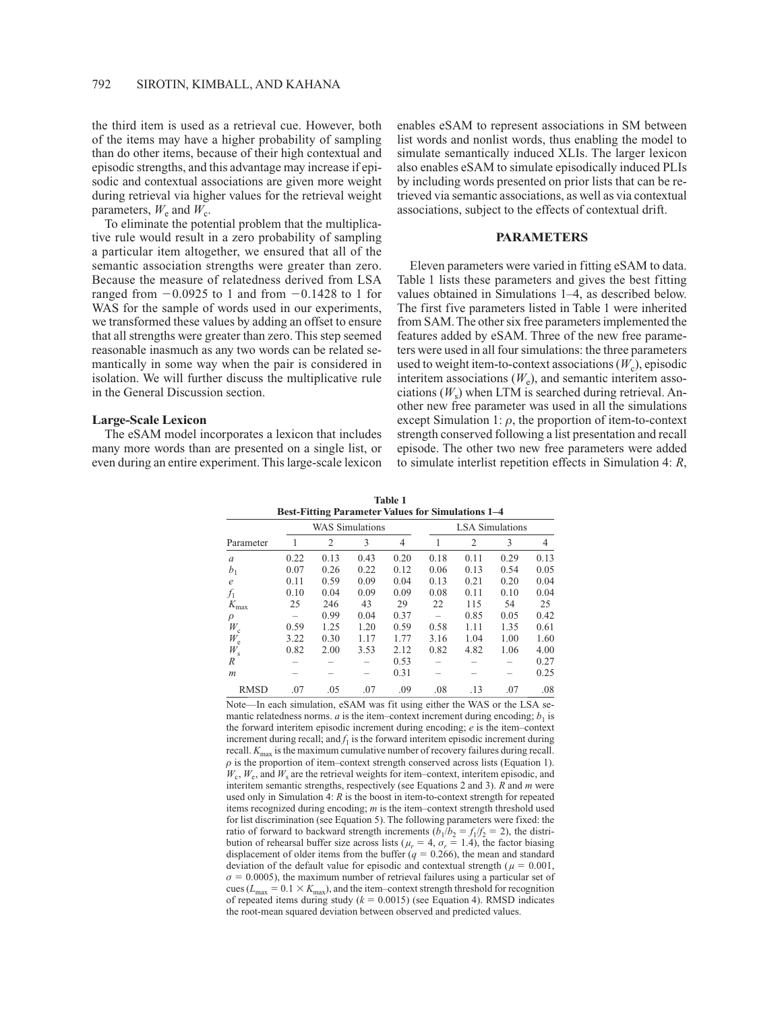the third item is used as a retrieval cue. However, both of the items may have a higher probability of sampling than do other items, because of their high contextual and episodic strengths, and this advantage may increase if episodic and contextual associations are given more weight during retrieval via higher values for the retrieval weight parameters,  $W_e$  and  $W_e$ .

To eliminate the potential problem that the multiplicative rule would result in a zero probability of sampling a particular item altogether, we ensured that all of the semantic association strengths were greater than zero. Because the measure of relatedness derived from LSA ranged from  $-0.0925$  to 1 and from  $-0.1428$  to 1 for WAS for the sample of words used in our experiments, we transformed these values by adding an offset to ensure that all strengths were greater than zero. This step seemed reasonable inasmuch as any two words can be related semantically in some way when the pair is considered in isolation. We will further discuss the multiplicative rule in the General Discussion section.

## **Large-Scale Lexicon**

The eSAM model incorporates a lexicon that includes many more words than are presented on a single list, or even during an entire experiment. This large-scale lexicon enables eSAM to represent associations in SM between list words and nonlist words, thus enabling the model to simulate semantically induced XLIs. The larger lexicon also enables eSAM to simulate episodically induced PLIs by including words presented on prior lists that can be retrieved via semantic associations, as well as via contextual associations, subject to the effects of contextual drift.

## **PARAMETERS**

Eleven parameters were varied in fitting eSAM to data. Table 1 lists these parameters and gives the best fitting values obtained in Simulations 1–4, as described below. The first five parameters listed in Table 1 were inherited from SAM. The other six free parameters implemented the features added by eSAM. Three of the new free parameters were used in all four simulations: the three parameters used to weight item-to-context associations  $(W_c)$ , episodic interitem associations  $(W_e)$ , and semantic interitem associations  $(W<sub>s</sub>)$  when LTM is searched during retrieval. Another new free parameter was used in all the simulations except Simulation 1:  $\rho$ , the proportion of item-to-context strength conserved following a list presentation and recall episode. The other two new free parameters were added to simulate interlist repetition effects in Simulation 4:  $R$ ,

| <b>Best-Fitting Parameter Values for Simulations 1–4</b> |                        |                |      |      |                        |                |      |                |
|----------------------------------------------------------|------------------------|----------------|------|------|------------------------|----------------|------|----------------|
| Parameter                                                | <b>WAS Simulations</b> |                |      |      | <b>LSA</b> Simulations |                |      |                |
|                                                          |                        | $\overline{c}$ | 3    | 4    | 1                      | $\overline{c}$ | 3    | $\overline{4}$ |
| $\mathfrak a$                                            | 0.22                   | 0.13           | 0.43 | 0.20 | 0.18                   | 0.11           | 0.29 | 0.13           |
| b <sub>1</sub>                                           | 0.07                   | 0.26           | 0.22 | 0.12 | 0.06                   | 0.13           | 0.54 | 0.05           |
| $\epsilon$                                               | 0.11                   | 0.59           | 0.09 | 0.04 | 0.13                   | 0.21           | 0.20 | 0.04           |
| fı                                                       | 0.10                   | 0.04           | 0.09 | 0.09 | 0.08                   | 0.11           | 0.10 | 0.04           |
| $K_{\rm max}$                                            | 25                     | 246            | 43   | 29   | 22                     | 115            | 54   | 25             |
| ρ                                                        |                        | 0.99           | 0.04 | 0.37 |                        | 0.85           | 0.05 | 0.42           |
| $W_{c}$                                                  | 0.59                   | 1.25           | 1.20 | 0.59 | 0.58                   | 1.11           | 1.35 | 0.61           |
| $W_{\rm e}$                                              | 3.22                   | 0.30           | 1.17 | 1.77 | 3.16                   | 1.04           | 1.00 | 1.60           |
| $W_{\rm s}$                                              | 0.82                   | 2.00           | 3.53 | 2.12 | 0.82                   | 4.82           | 1.06 | 4.00           |
| R                                                        |                        |                |      | 0.53 |                        |                |      | 0.27           |
| $\boldsymbol{m}$                                         |                        |                |      | 0.31 |                        |                |      | 0.25           |
| <b>RMSD</b>                                              | .07                    | .05            | .07  | .09  | .08                    | .13            | .07  | .08            |

**Table 1** 

Note—In each simulation, eSAM was fit using either the WAS or the LSA semantic relatedness norms. *a* is the item-context increment during encoding;  $b_1$  is the forward interitem episodic increment during encoding;  $e$  is the item-context increment during recall; and  $f_1$  is the forward interitem episodic increment during recall.  $K_{\text{max}}$  is the maximum cumulative number of recovery failures during recall.  $\rho$  is the proportion of item-context strength conserved across lists (Equation 1).  $W_c$ ,  $W_e$ , and  $W_s$  are the retrieval weights for item–context, interitem episodic, and interitem semantic strengths, respectively (see Equations 2 and 3).  $R$  and  $m$  were used only in Simulation 4:  $R$  is the boost in item-to-context strength for repeated items recognized during encoding;  $m$  is the item-context strength threshold used for list discrimination (see Equation 5). The following parameters were fixed: the ratio of forward to backward strength increments  $(b_1/b_2 = f_1/f_2 = 2)$ , the distribution of rehearsal buffer size across lists ( $\mu_r = 4$ ,  $\sigma_r = 1.4$ ), the factor biasing displacement of older items from the buffer ( $q = 0.266$ ), the mean and standard deviation of the default value for episodic and contextual strength ( $\mu = 0.001$ ,  $\sigma$  = 0.0005), the maximum number of retrieval failures using a particular set of cues ( $L_{\text{max}} = 0.1 \times K_{\text{max}}$ ), and the item-context strength threshold for recognition of repeated items during study ( $k = 0.0015$ ) (see Equation 4). RMSD indicates the root-mean squared deviation between observed and predicted values.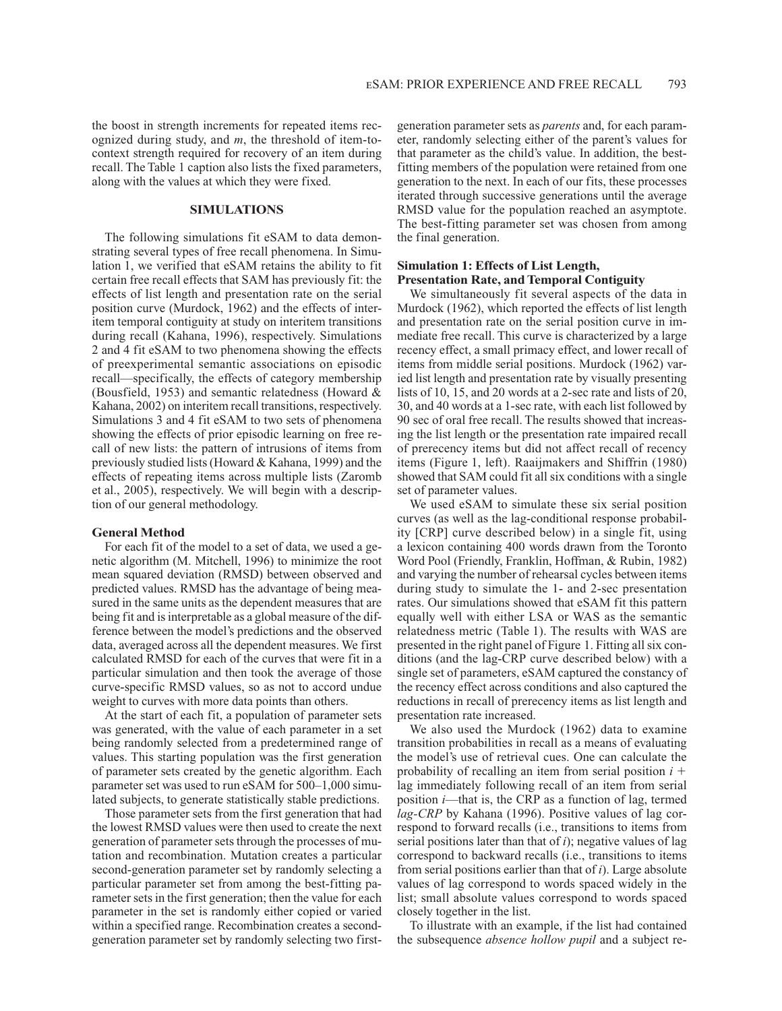the boost in strength increments for repeated items recognized during study, and  $m$ , the threshold of item-tocontext strength required for recovery of an item during recall. The Table 1 caption also lists the fixed parameters, along with the values at which they were fixed.

## **SIMULATIONS**

The following simulations fit eSAM to data demonstrating several types of free recall phenomena. In Simulation 1, we verified that eSAM retains the ability to fit certain free recall effects that SAM has previously fit: the effects of list length and presentation rate on the serial position curve (Murdock, 1962) and the effects of interitem temporal contiguity at study on interitem transitions during recall (Kahana, 1996), respectively. Simulations 2 and 4 fit eSAM to two phenomena showing the effects of preexperimental semantic associations on episodic recall—specifically, the effects of category membership (Bousfield, 1953) and semantic relatedness (Howard & Kahana, 2002) on interitem recall transitions, respectively. Simulations 3 and 4 fit eSAM to two sets of phenomena showing the effects of prior episodic learning on free recall of new lists: the pattern of intrusions of items from previously studied lists (Howard & Kahana, 1999) and the effects of repeating items across multiple lists (Zaromb et al., 2005), respectively. We will begin with a description of our general methodology.

#### **General Method**

For each fit of the model to a set of data, we used a genetic algorithm (M. Mitchell, 1996) to minimize the root mean squared deviation (RMSD) between observed and predicted values. RMSD has the advantage of being measured in the same units as the dependent measures that are being fit and is interpretable as a global measure of the difference between the model's predictions and the observed data, averaged across all the dependent measures. We first calculated RMSD for each of the curves that were fit in a particular simulation and then took the average of those curve-specific RMSD values, so as not to accord undue weight to curves with more data points than others.

At the start of each fit, a population of parameter sets was generated, with the value of each parameter in a set being randomly selected from a predetermined range of values. This starting population was the first generation of parameter sets created by the genetic algorithm. Each parameter set was used to run eSAM for 500–1,000 simulated subjects, to generate statistically stable predictions.

Those parameter sets from the first generation that had the lowest RMSD values were then used to create the next generation of parameter sets through the processes of mutation and recombination. Mutation creates a particular second-generation parameter set by randomly selecting a particular parameter set from among the best-fitting parameter sets in the first generation; then the value for each parameter in the set is randomly either copied or varied within a specified range. Recombination creates a secondgeneration parameter set by randomly selecting two first-

generation parameter sets as *parents* and, for each parameter, randomly selecting either of the parent's values for that parameter as the child's value. In addition, the bestfitting members of the population were retained from one generation to the next. In each of our fits, these processes iterated through successive generations until the average RMSD value for the population reached an asymptote. The best-fitting parameter set was chosen from among the final generation.

## **Simulation 1: Effects of List Length, Presentation Rate, and Temporal Contiguity**

We simultaneously fit several aspects of the data in Murdock (1962), which reported the effects of list length and presentation rate on the serial position curve in immediate free recall. This curve is characterized by a large recency effect, a small primacy effect, and lower recall of items from middle serial positions. Murdock (1962) varied list length and presentation rate by visually presenting lists of 10, 15, and 20 words at a 2-sec rate and lists of 20, 30, and 40 words at a 1-sec rate, with each list followed by 90 sec of oral free recall. The results showed that increasing the list length or the presentation rate impaired recall of prerecency items but did not affect recall of recency items (Figure 1, left). Raaijmakers and Shiffrin (1980) showed that SAM could fit all six conditions with a single set of parameter values.

We used eSAM to simulate these six serial position curves (as well as the lag-conditional response probability [CRP] curve described below) in a single fit, using a lexicon containing 400 words drawn from the Toronto Word Pool (Friendly, Franklin, Hoffman, & Rubin, 1982) and varying the number of rehearsal cycles between items during study to simulate the 1- and 2-sec presentation rates. Our simulations showed that eSAM fit this pattern equally well with either LSA or WAS as the semantic relatedness metric (Table 1). The results with WAS are presented in the right panel of Figure 1. Fitting all six conditions (and the lag-CRP curve described below) with a single set of parameters, eSAM captured the constancy of the recency effect across conditions and also captured the reductions in recall of prerecency items as list length and presentation rate increased.

We also used the Murdock (1962) data to examine transition probabilities in recall as a means of evaluating the model's use of retrieval cues. One can calculate the probability of recalling an item from serial position  $i +$ lag immediately following recall of an item from serial position *i*—that is, the CRP as a function of lag, termed *lag-CRP* by Kahana (1996). Positive values of lag correspond to forward recalls (*i.e.*, transitions to items from serial positions later than that of  $i$ ); negative values of lag correspond to backward recalls (i.e., transitions to items from serial positions earlier than that of  $i$ ). Large absolute values of lag correspond to words spaced widely in the list; small absolute values correspond to words spaced closely together in the list.

To illustrate with an example, if the list had contained the subsequence *absence hollow pupil* and a subject re-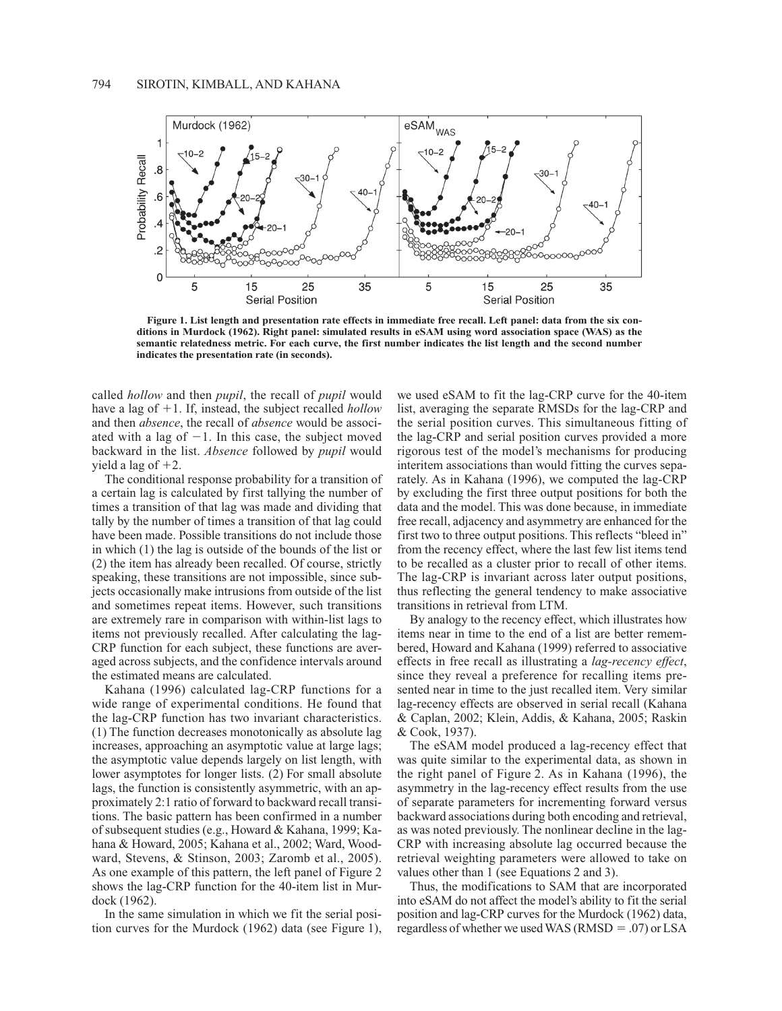

Figure 1. List length and presentation rate effects in immediate free recall. Left panel: data from the six conditions in Murdock (1962). Right panel: simulated results in eSAM using word association space (WAS) as the semantic relatedness metric. For each curve, the first number indicates the list length and the second number indicates the presentation rate (in seconds).

called *hollow* and then *pupil*, the recall of *pupil* would have a lag of  $+1$ . If, instead, the subject recalled *hollow* and then *absence*, the recall of *absence* would be associated with a lag of  $-1$ . In this case, the subject moved backward in the list. Absence followed by pupil would yield a lag of  $+2$ .

The conditional response probability for a transition of a certain lag is calculated by first tallying the number of times a transition of that lag was made and dividing that tally by the number of times a transition of that lag could have been made. Possible transitions do not include those in which  $(1)$  the lag is outside of the bounds of the list or (2) the item has already been recalled. Of course, strictly speaking, these transitions are not impossible, since subjects occasionally make intrusions from outside of the list and sometimes repeat items. However, such transitions are extremely rare in comparison with within-list lags to items not previously recalled. After calculating the lag-CRP function for each subject, these functions are averaged across subjects, and the confidence intervals around the estimated means are calculated.

Kahana (1996) calculated lag-CRP functions for a wide range of experimental conditions. He found that the lag-CRP function has two invariant characteristics. (1) The function decreases monotonically as absolute lag increases, approaching an asymptotic value at large lags; the asymptotic value depends largely on list length, with lower asymptotes for longer lists. (2) For small absolute lags, the function is consistently asymmetric, with an approximately 2:1 ratio of forward to backward recall transitions. The basic pattern has been confirmed in a number of subsequent studies (e.g., Howard & Kahana, 1999; Kahana & Howard, 2005; Kahana et al., 2002; Ward, Woodward, Stevens, & Stinson, 2003; Zaromb et al., 2005). As one example of this pattern, the left panel of Figure 2 shows the lag-CRP function for the 40-item list in Murdock (1962).

In the same simulation in which we fit the serial position curves for the Murdock (1962) data (see Figure 1),

we used eSAM to fit the lag-CRP curve for the 40-item list, averaging the separate RMSDs for the lag-CRP and the serial position curves. This simultaneous fitting of the lag-CRP and serial position curves provided a more rigorous test of the model's mechanisms for producing interitem associations than would fitting the curves separately. As in Kahana (1996), we computed the lag-CRP by excluding the first three output positions for both the data and the model. This was done because, in immediate free recall, adjacency and asymmetry are enhanced for the first two to three output positions. This reflects "bleed in" from the recency effect, where the last few list items tend to be recalled as a cluster prior to recall of other items. The lag-CRP is invariant across later output positions, thus reflecting the general tendency to make associative transitions in retrieval from LTM.

By analogy to the recency effect, which illustrates how items near in time to the end of a list are better remembered, Howard and Kahana (1999) referred to associative effects in free recall as illustrating a *lag-recency effect*, since they reveal a preference for recalling items presented near in time to the just recalled item. Very similar lag-recency effects are observed in serial recall (Kahana & Caplan, 2002; Klein, Addis, & Kahana, 2005; Raskin & Cook, 1937).

The eSAM model produced a lag-recency effect that was quite similar to the experimental data, as shown in the right panel of Figure 2. As in Kahana (1996), the asymmetry in the lag-recency effect results from the use of separate parameters for incrementing forward versus backward associations during both encoding and retrieval, as was noted previously. The nonlinear decline in the lag-CRP with increasing absolute lag occurred because the retrieval weighting parameters were allowed to take on values other than 1 (see Equations 2 and 3).

Thus, the modifications to SAM that are incorporated into eSAM do not affect the model's ability to fit the serial position and lag-CRP curves for the Murdock (1962) data, regardless of whether we used WAS (RMSD = .07) or LSA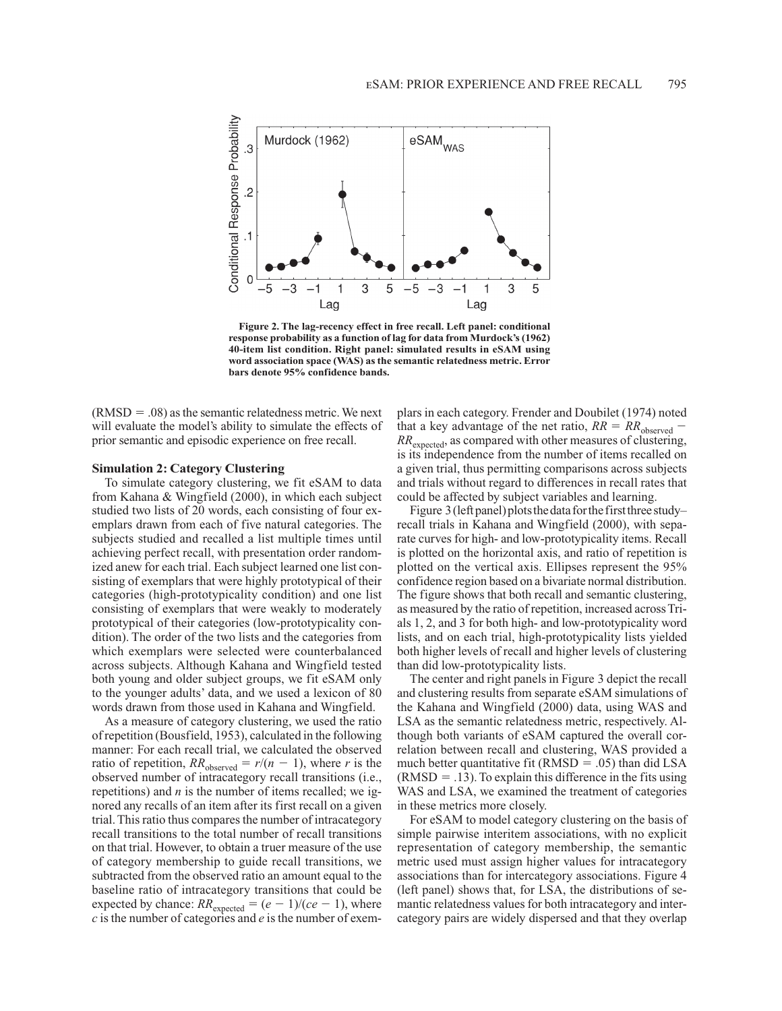

Figure 2. The lag-recency effect in free recall. Left panel: conditional response probability as a function of lag for data from Murdock's (1962) 40-item list condition. Right panel: simulated results in eSAM using word association space (WAS) as the semantic relatedness metric. Error bars denote 95% confidence bands.

 $(RMSD = .08)$  as the semantic relatedness metric. We next will evaluate the model's ability to simulate the effects of prior semantic and episodic experience on free recall.

#### **Simulation 2: Category Clustering**

To simulate category clustering, we fit eSAM to data from Kahana & Wingfield (2000), in which each subject studied two lists of 20 words, each consisting of four exemplars drawn from each of five natural categories. The subjects studied and recalled a list multiple times until achieving perfect recall, with presentation order randomized anew for each trial. Each subject learned one list consisting of exemplars that were highly prototypical of their categories (high-prototypicality condition) and one list consisting of exemplars that were weakly to moderately prototypical of their categories (low-prototypicality condition). The order of the two lists and the categories from which exemplars were selected were counterbalanced across subjects. Although Kahana and Wingfield tested both young and older subject groups, we fit eSAM only to the younger adults' data, and we used a lexicon of 80 words drawn from those used in Kahana and Wingfield.

As a measure of category clustering, we used the ratio of repetition (Bousfield, 1953), calculated in the following manner: For each recall trial, we calculated the observed ratio of repetition,  $RR_{observed} = r/(n - 1)$ , where r is the observed number of intracategory recall transitions (i.e., repetitions) and  $n$  is the number of items recalled; we ignored any recalls of an item after its first recall on a given trial. This ratio thus compares the number of intracategory recall transitions to the total number of recall transitions on that trial. However, to obtain a truer measure of the use of category membership to guide recall transitions, we subtracted from the observed ratio an amount equal to the baseline ratio of intracategory transitions that could be expected by chance:  $RR_{expected} = (e - 1)/(ce - 1)$ , where  $c$  is the number of categories and  $e$  is the number of exem-

plars in each category. Frender and Doubilet (1974) noted that a key advantage of the net ratio,  $RR = RR_{observed}$ RR<sub>expected</sub>, as compared with other measures of clustering, is its independence from the number of items recalled on a given trial, thus permitting comparisons across subjects and trials without regard to differences in recall rates that could be affected by subject variables and learning.

Figure 3 (left panel) plots the data for the first three studyrecall trials in Kahana and Wingfield (2000), with separate curves for high- and low-prototypicality items. Recall is plotted on the horizontal axis, and ratio of repetition is plotted on the vertical axis. Ellipses represent the 95% confidence region based on a bivariate normal distribution. The figure shows that both recall and semantic clustering, as measured by the ratio of repetition, increased across Trials 1, 2, and 3 for both high- and low-prototypicality word lists, and on each trial, high-prototypicality lists yielded both higher levels of recall and higher levels of clustering than did low-prototypicality lists.

The center and right panels in Figure 3 depict the recall and clustering results from separate eSAM simulations of the Kahana and Wingfield (2000) data, using WAS and LSA as the semantic relatedness metric, respectively. Although both variants of eSAM captured the overall correlation between recall and clustering, WAS provided a much better quantitative fit (RMSD = .05) than did LSA  $(RMSD = .13)$ . To explain this difference in the fits using WAS and LSA, we examined the treatment of categories in these metrics more closely.

For eSAM to model category clustering on the basis of simple pairwise interitem associations, with no explicit representation of category membership, the semantic metric used must assign higher values for intracategory associations than for intercategory associations. Figure 4 (left panel) shows that, for LSA, the distributions of semantic relatedness values for both intracategory and intercategory pairs are widely dispersed and that they overlap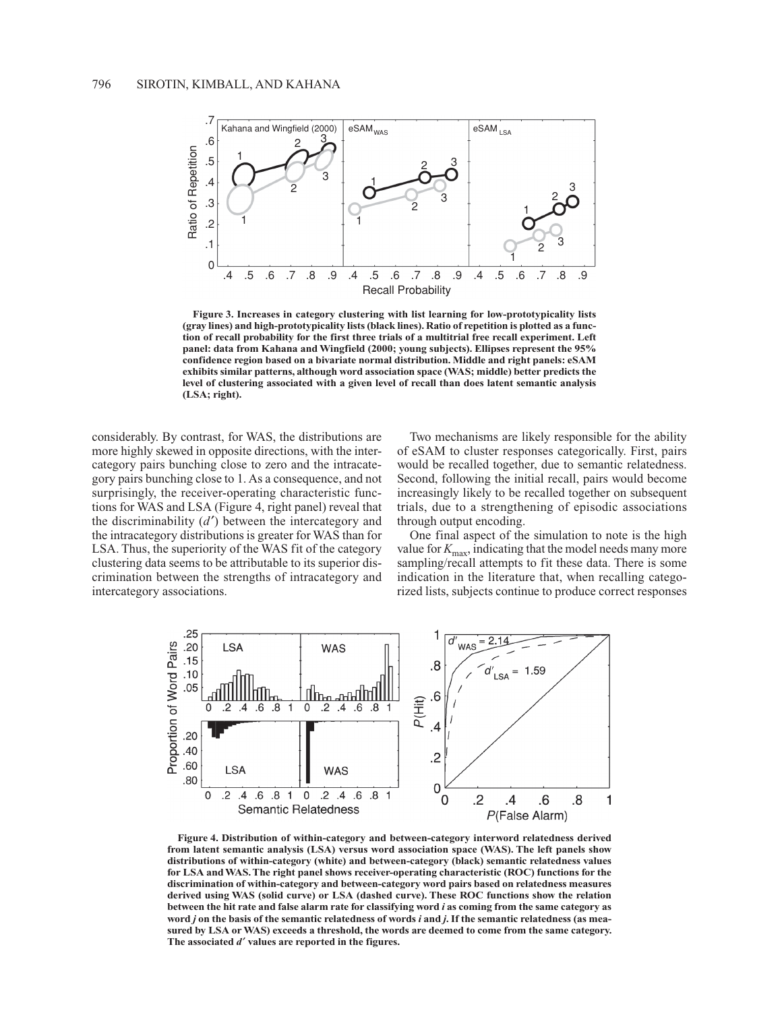

Figure 3. Increases in category clustering with list learning for low-prototypicality lists (gray lines) and high-prototypicality lists (black lines). Ratio of repetition is plotted as a function of recall probability for the first three trials of a multitrial free recall experiment. Left panel: data from Kahana and Wingfield (2000; young subjects). Ellipses represent the 95% confidence region based on a bivariate normal distribution. Middle and right panels: eSAM exhibits similar patterns, although word association space (WAS; middle) better predicts the level of clustering associated with a given level of recall than does latent semantic analysis (LSA; right).

considerably. By contrast, for WAS, the distributions are more highly skewed in opposite directions, with the intercategory pairs bunching close to zero and the intracategory pairs bunching close to 1. As a consequence, and not surprisingly, the receiver-operating characteristic functions for WAS and LSA (Figure 4, right panel) reveal that the discriminability  $(d')$  between the intercategory and the intracategory distributions is greater for WAS than for LSA. Thus, the superiority of the WAS fit of the category clustering data seems to be attributable to its superior discrimination between the strengths of intracategory and intercategory associations.

Two mechanisms are likely responsible for the ability of eSAM to cluster responses categorically. First, pairs would be recalled together, due to semantic relatedness. Second, following the initial recall, pairs would become increasingly likely to be recalled together on subsequent trials, due to a strengthening of episodic associations through output encoding.

One final aspect of the simulation to note is the high value for  $K_{\text{max}}$ , indicating that the model needs many more sampling/recall attempts to fit these data. There is some indication in the literature that, when recalling categorized lists, subjects continue to produce correct responses



Figure 4. Distribution of within-category and between-category interword relatedness derived from latent semantic analysis (LSA) versus word association space (WAS). The left panels show distributions of within-category (white) and between-category (black) semantic relatedness values for LSA and WAS. The right panel shows receiver-operating characteristic (ROC) functions for the discrimination of within-category and between-category word pairs based on relatedness measures derived using WAS (solid curve) or LSA (dashed curve). These ROC functions show the relation between the hit rate and false alarm rate for classifying word i as coming from the same category as word  $j$  on the basis of the semantic relatedness of words  $i$  and  $j$ . If the semantic relatedness (as measured by LSA or WAS) exceeds a threshold, the words are deemed to come from the same category. The associated d' values are reported in the figures.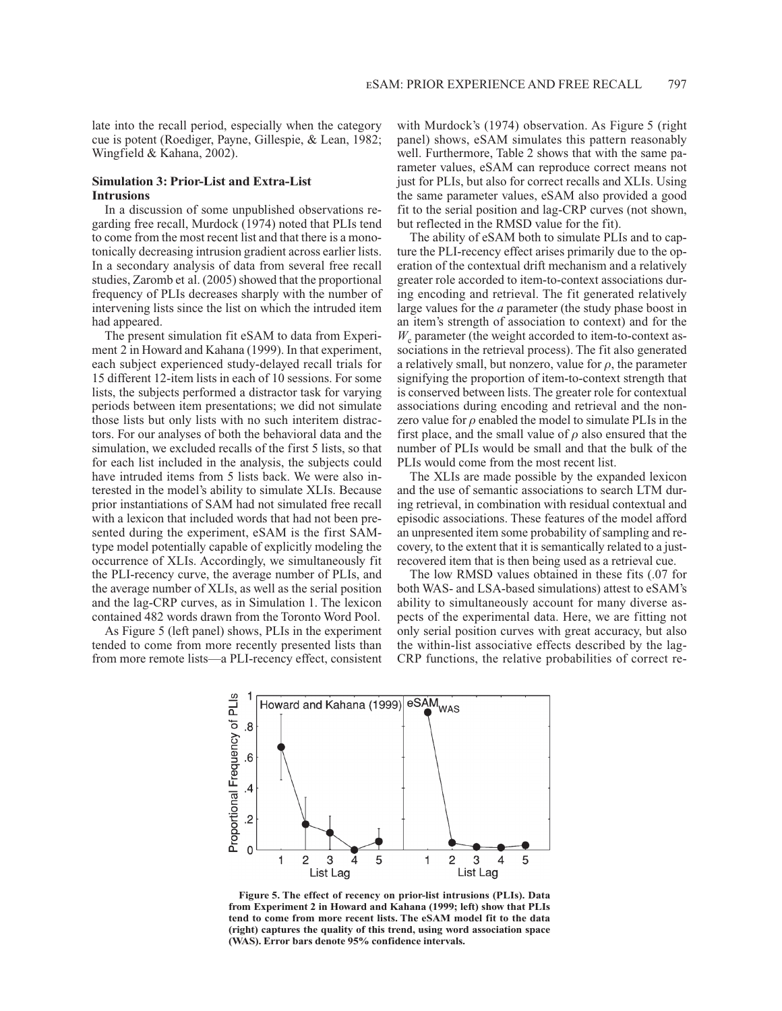late into the recall period, especially when the category cue is potent (Roediger, Payne, Gillespie, & Lean, 1982; Wingfield & Kahana, 2002).

## **Simulation 3: Prior-List and Extra-List Intrusions**

In a discussion of some unpublished observations regarding free recall, Murdock (1974) noted that PLIs tend to come from the most recent list and that there is a monotonically decreasing intrusion gradient across earlier lists. In a secondary analysis of data from several free recall studies, Zaromb et al. (2005) showed that the proportional frequency of PLIs decreases sharply with the number of intervening lists since the list on which the intruded item had appeared.

The present simulation fit eSAM to data from Experiment 2 in Howard and Kahana (1999). In that experiment, each subject experienced study-delayed recall trials for 15 different 12-item lists in each of 10 sessions. For some lists, the subjects performed a distractor task for varying periods between item presentations; we did not simulate those lists but only lists with no such interitem distractors. For our analyses of both the behavioral data and the simulation, we excluded recalls of the first 5 lists, so that for each list included in the analysis, the subjects could have intruded items from 5 lists back. We were also interested in the model's ability to simulate XLIs. Because prior instantiations of SAM had not simulated free recall with a lexicon that included words that had not been presented during the experiment, eSAM is the first SAMtype model potentially capable of explicitly modeling the occurrence of XLIs. Accordingly, we simultaneously fit the PLI-recency curve, the average number of PLIs, and the average number of XLIs, as well as the serial position and the lag-CRP curves, as in Simulation 1. The lexicon contained 482 words drawn from the Toronto Word Pool.

As Figure 5 (left panel) shows, PLIs in the experiment tended to come from more recently presented lists than from more remote lists—a PLI-recency effect, consistent

with Murdock's (1974) observation. As Figure 5 (right panel) shows, eSAM simulates this pattern reasonably well. Furthermore, Table 2 shows that with the same parameter values, eSAM can reproduce correct means not just for PLIs, but also for correct recalls and XLIs. Using the same parameter values, eSAM also provided a good fit to the serial position and lag-CRP curves (not shown, but reflected in the RMSD value for the fit).

The ability of eSAM both to simulate PLIs and to capture the PLI-recency effect arises primarily due to the operation of the contextual drift mechanism and a relatively greater role accorded to item-to-context associations during encoding and retrieval. The fit generated relatively large values for the *a* parameter (the study phase boost in an item's strength of association to context) and for the  $W_c$  parameter (the weight accorded to item-to-context associations in the retrieval process). The fit also generated a relatively small, but nonzero, value for  $\rho$ , the parameter signifying the proportion of item-to-context strength that is conserved between lists. The greater role for contextual associations during encoding and retrieval and the nonzero value for  $\rho$  enabled the model to simulate PLIs in the first place, and the small value of  $\rho$  also ensured that the number of PLIs would be small and that the bulk of the PLIs would come from the most recent list.

The XLIs are made possible by the expanded lexicon and the use of semantic associations to search LTM during retrieval, in combination with residual contextual and episodic associations. These features of the model afford an unpresented item some probability of sampling and recovery, to the extent that it is semantically related to a justrecovered item that is then being used as a retrieval cue.

The low RMSD values obtained in these fits (.07 for both WAS- and LSA-based simulations) attest to eSAM's ability to simultaneously account for many diverse aspects of the experimental data. Here, we are fitting not only serial position curves with great accuracy, but also the within-list associative effects described by the lag-CRP functions, the relative probabilities of correct re-



Figure 5. The effect of recency on prior-list intrusions (PLIs). Data from Experiment 2 in Howard and Kahana (1999; left) show that PLIs tend to come from more recent lists. The eSAM model fit to the data (right) captures the quality of this trend, using word association space (WAS). Error bars denote 95% confidence intervals.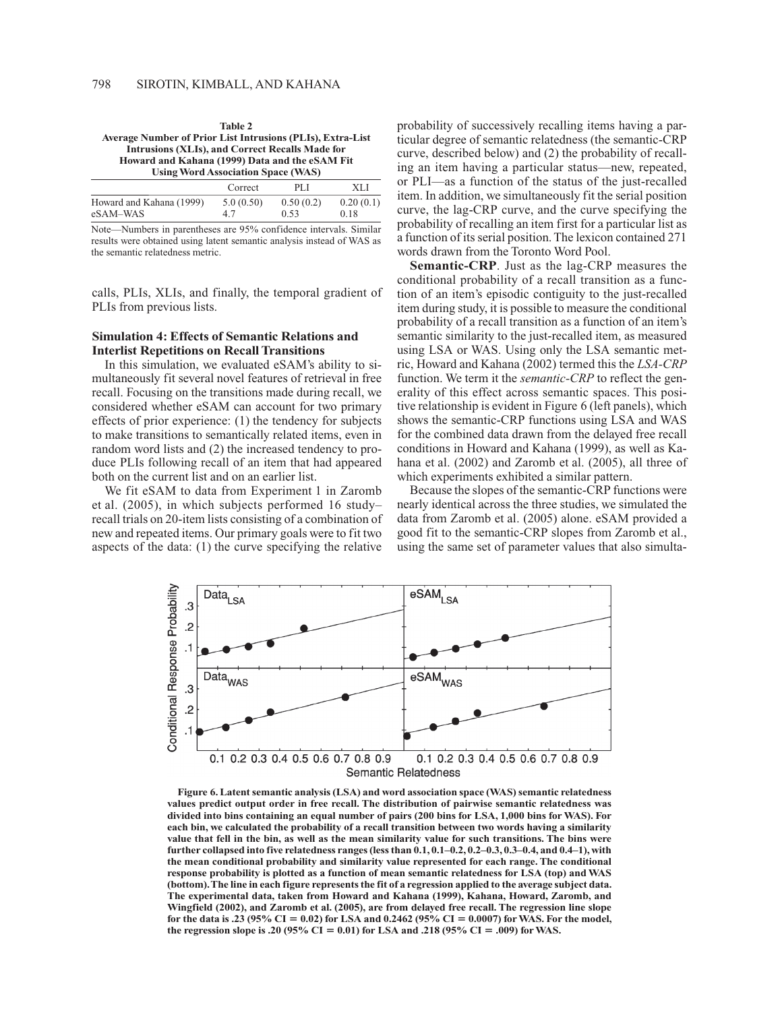|                          | Correct   | PL I      | -XLI      |
|--------------------------|-----------|-----------|-----------|
| Howard and Kahana (1999) | 5.0(0.50) | 0.50(0.2) | 0.20(0.1) |
| eSAM–WAS                 | 47        | 0.53      | 0.18      |

Note—Numbers in parentheses are 95% confidence intervals. Similar results were obtained using latent semantic analysis instead of WAS as the semantic relatedness metric.

calls, PLIs, XLIs, and finally, the temporal gradient of PLIs from previous lists.

## **Simulation 4: Effects of Semantic Relations and Interlist Repetitions on Recall Transitions**

In this simulation, we evaluated eSAM's ability to simultaneously fit several novel features of retrieval in free recall. Focusing on the transitions made during recall, we considered whether eSAM can account for two primary effects of prior experience:  $(1)$  the tendency for subjects to make transitions to semantically related items, even in random word lists and (2) the increased tendency to produce PLIs following recall of an item that had appeared both on the current list and on an earlier list.

We fit eSAM to data from Experiment 1 in Zaromb et al.  $(2005)$ , in which subjects performed 16 studyrecall trials on 20-item lists consisting of a combination of new and repeated items. Our primary goals were to fit two aspects of the data:  $(1)$  the curve specifying the relative

probability of successively recalling items having a particular degree of semantic relatedness (the semantic-CRP curve, described below) and (2) the probability of recalling an item having a particular status—new, repeated, or PLI—as a function of the status of the just-recalled item. In addition, we simultaneously fit the serial position curve, the lag-CRP curve, and the curve specifying the probability of recalling an item first for a particular list as a function of its serial position. The lexicon contained 271 words drawn from the Toronto Word Pool.

Semantic-CRP. Just as the lag-CRP measures the conditional probability of a recall transition as a function of an item's episodic contiguity to the just-recalled item during study, it is possible to measure the conditional probability of a recall transition as a function of an item's semantic similarity to the just-recalled item, as measured using LSA or WAS. Using only the LSA semantic metric, Howard and Kahana (2002) termed this the LSA-CRP function. We term it the *semantic-CRP* to reflect the generality of this effect across semantic spaces. This positive relationship is evident in Figure 6 (left panels), which shows the semantic-CRP functions using LSA and WAS for the combined data drawn from the delayed free recall conditions in Howard and Kahana (1999), as well as Kahana et al. (2002) and Zaromb et al. (2005), all three of which experiments exhibited a similar pattern.

Because the slopes of the semantic-CRP functions were nearly identical across the three studies, we simulated the data from Zaromb et al. (2005) alone. eSAM provided a good fit to the semantic-CRP slopes from Zaromb et al., using the same set of parameter values that also simulta-



Figure 6. Latent semantic analysis (LSA) and word association space (WAS) semantic relatedness values predict output order in free recall. The distribution of pairwise semantic relatedness was divided into bins containing an equal number of pairs (200 bins for LSA, 1,000 bins for WAS). For each bin, we calculated the probability of a recall transition between two words having a similarity value that fell in the bin, as well as the mean similarity value for such transitions. The bins were further collapsed into five relatedness ranges (less than  $0.1, 0.1$  –0.2, 0.2–0.3, 0.3–0.4, and 0.4–1), with the mean conditional probability and similarity value represented for each range. The conditional response probability is plotted as a function of mean semantic relatedness for LSA (top) and WAS (bottom). The line in each figure represents the fit of a regression applied to the average subject data. The experimental data, taken from Howard and Kahana (1999), Kahana, Howard, Zaromb, and Wingfield (2002), and Zaromb et al. (2005), are from delayed free recall. The regression line slope for the data is .23 (95% CI = 0.02) for LSA and 0.2462 (95% CI = 0.0007) for WAS. For the model, the regression slope is .20 (95% CI = 0.01) for LSA and .218 (95% CI = .009) for WAS.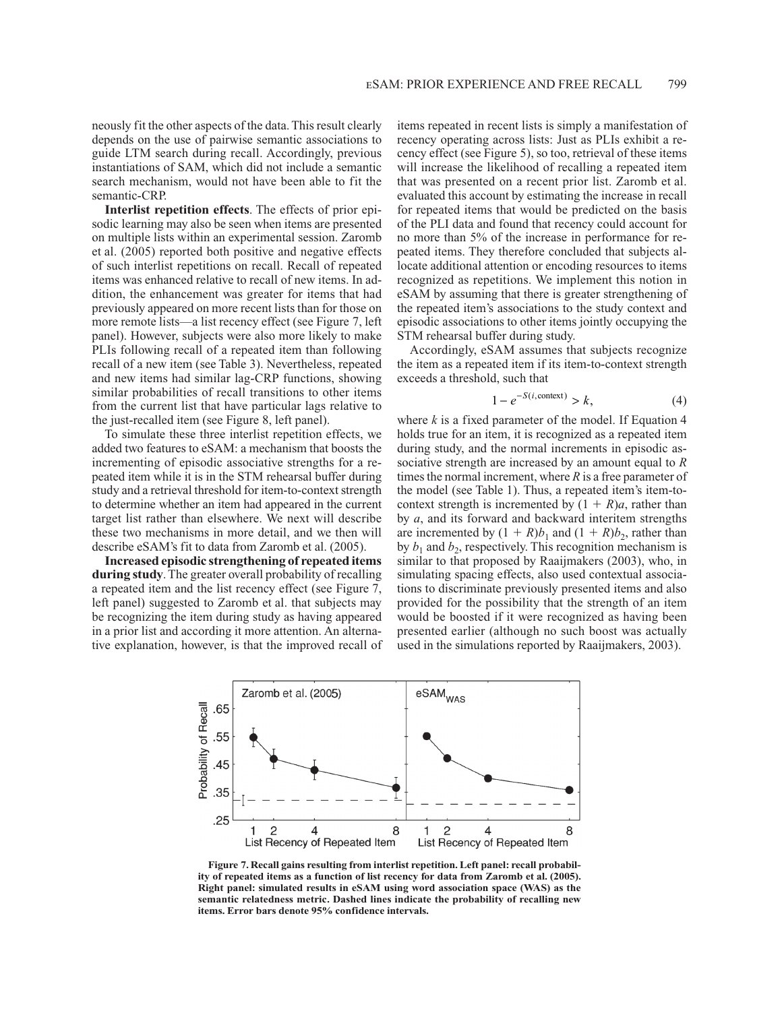neously fit the other aspects of the data. This result clearly depends on the use of pairwise semantic associations to guide LTM search during recall. Accordingly, previous instantiations of SAM, which did not include a semantic search mechanism, would not have been able to fit the semantic-CRP.

**Interlist repetition effects**. The effects of prior episodic learning may also be seen when items are presented on multiple lists within an experimental session. Zaromb et al. (2005) reported both positive and negative effects of such interlist repetitions on recall. Recall of repeated items was enhanced relative to recall of new items. In addition, the enhancement was greater for items that had previously appeared on more recent lists than for those on more remote lists—a list recency effect (see Figure 7, left panel). However, subjects were also more likely to make PLIs following recall of a repeated item than following recall of a new item (see Table 3). Nevertheless, repeated and new items had similar lag-CRP functions, showing similar probabilities of recall transitions to other items from the current list that have particular lags relative to the just-recalled item (see Figure 8, left panel).

To simulate these three interlist repetition effects, we added two features to eSAM: a mechanism that boosts the incrementing of episodic associative strengths for a repeated item while it is in the STM rehearsal buffer during study and a retrieval threshold for item-to-context strength to determine whether an item had appeared in the current target list rather than elsewhere. We next will describe these two mechanisms in more detail, and we then will describe eSAM's fit to data from Zaromb et al. (2005).

Increased episodic strengthening of repeated items **during study**. The greater overall probability of recalling a repeated item and the list recency effect (see Figure 7, left panel) suggested to Zaromb et al. that subjects may be recognizing the item during study as having appeared in a prior list and according it more attention. An alternative explanation, however, is that the improved recall of

items repeated in recent lists is simply a manifestation of recency operating across lists: Just as PLIs exhibit a recency effect (see Figure 5), so too, retrieval of these items will increase the likelihood of recalling a repeated item that was presented on a recent prior list. Zaromb et al. evaluated this account by estimating the increase in recall for repeated items that would be predicted on the basis of the PLI data and found that recency could account for no more than 5% of the increase in performance for repeated items. They therefore concluded that subjects allocate additional attention or encoding resources to items recognized as repetitions. We implement this notion in eSAM by assuming that there is greater strengthening of the repeated item's associations to the study context and episodic associations to other items jointly occupying the STM rehearsal buffer during study.

Accordingly, eSAM assumes that subjects recognize the item as a repeated item if its item-to-context strength exceeds a threshold, such that

$$
1 - e^{-S(i, \text{context})} > k,\tag{4}
$$

where  $k$  is a fixed parameter of the model. If Equation 4 holds true for an item, it is recognized as a repeated item during study, and the normal increments in episodic associative strength are increased by an amount equal to  $R$ times the normal increment, where  $R$  is a free parameter of the model (see Table 1). Thus, a repeated item's item-tocontext strength is incremented by  $(1 + R)a$ , rather than by  $a$ , and its forward and backward interitem strengths are incremented by  $(1 + R)b_1$  and  $(1 + R)b_2$ , rather than by  $b_1$  and  $b_2$ , respectively. This recognition mechanism is similar to that proposed by Raaijmakers (2003), who, in simulating spacing effects, also used contextual associations to discriminate previously presented items and also provided for the possibility that the strength of an item would be boosted if it were recognized as having been presented earlier (although no such boost was actually used in the simulations reported by Raaijmakers, 2003).



Figure 7. Recall gains resulting from interlist repetition. Left panel: recall probability of repeated items as a function of list recency for data from Zaromb et al. (2005). Right panel: simulated results in eSAM using word association space (WAS) as the semantic relatedness metric. Dashed lines indicate the probability of recalling new items. Error bars denote 95% confidence intervals.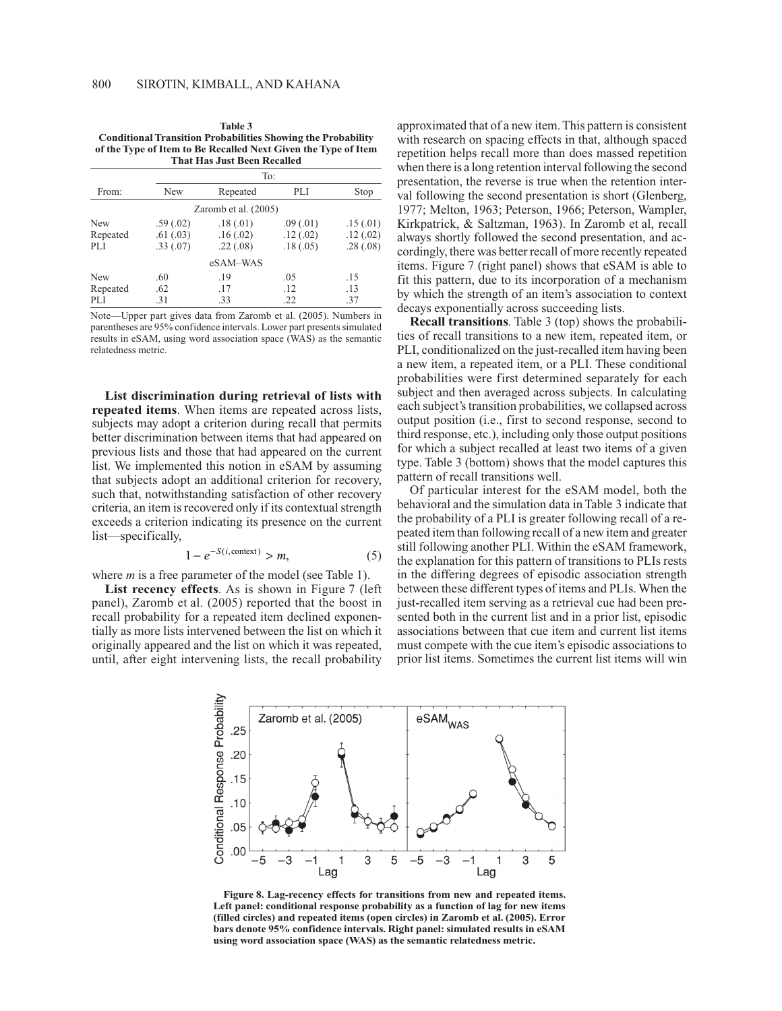Table 3 **Conditional Transition Probabilities Showing the Probability** of the Type of Item to Be Recalled Next Given the Type of Item **That Has Just Been Recalled** 

|            | To:      |                      |           |           |  |  |  |
|------------|----------|----------------------|-----------|-----------|--|--|--|
| From:      | New      | Repeated             | PLI       | Stop      |  |  |  |
|            |          | Zaromb et al. (2005) |           |           |  |  |  |
| <b>New</b> | .59(.02) | .18(0.01)            | .09(0.01) | .15(0.01) |  |  |  |
| Repeated   | .61(.03) | .16(.02)             | .12(.02)  | .12(.02)  |  |  |  |
| PLI        | .33(.07) | .22(.08)             | .18(0.05) | .28(.08)  |  |  |  |
|            |          | eSAM-WAS             |           |           |  |  |  |
| <b>New</b> | .60      | .19                  | .05       | .15       |  |  |  |
| Repeated   | .62      | .17                  | .12       | .13       |  |  |  |
| PLI        | .31      | .33                  | .22       | .37       |  |  |  |

Note—Upper part gives data from Zaromb et al. (2005). Numbers in parentheses are 95% confidence intervals. Lower part presents simulated results in eSAM, using word association space (WAS) as the semantic relatedness metric.

List discrimination during retrieval of lists with repeated items. When items are repeated across lists, subjects may adopt a criterion during recall that permits better discrimination between items that had appeared on previous lists and those that had appeared on the current list. We implemented this notion in eSAM by assuming that subjects adopt an additional criterion for recovery, such that, notwithstanding satisfaction of other recovery criteria, an item is recovered only if its contextual strength exceeds a criterion indicating its presence on the current list—specifically,

$$
1 - e^{-S(i, \text{context})} > m,\tag{5}
$$

where  $m$  is a free parameter of the model (see Table 1).

List recency effects. As is shown in Figure 7 (left panel), Zaromb et al. (2005) reported that the boost in recall probability for a repeated item declined exponentially as more lists intervened between the list on which it originally appeared and the list on which it was repeated, until, after eight intervening lists, the recall probability approximated that of a new item. This pattern is consistent with research on spacing effects in that, although spaced repetition helps recall more than does massed repetition when there is a long retention interval following the second presentation, the reverse is true when the retention interval following the second presentation is short (Glenberg, 1977; Melton, 1963; Peterson, 1966; Peterson, Wampler, Kirkpatrick, & Saltzman, 1963). In Zaromb et al, recall always shortly followed the second presentation, and accordingly, there was better recall of more recently repeated items. Figure 7 (right panel) shows that eSAM is able to fit this pattern, due to its incorporation of a mechanism by which the strength of an item's association to context decays exponentially across succeeding lists.

**Recall transitions.** Table 3 (top) shows the probabilities of recall transitions to a new item, repeated item, or PLI, conditionalized on the just-recalled item having been a new item, a repeated item, or a PLI. These conditional probabilities were first determined separately for each subject and then averaged across subjects. In calculating each subject's transition probabilities, we collapsed across output position (i.e., first to second response, second to third response, etc.), including only those output positions for which a subject recalled at least two items of a given type. Table 3 (bottom) shows that the model captures this pattern of recall transitions well.

Of particular interest for the eSAM model, both the behavioral and the simulation data in Table 3 indicate that the probability of a PLI is greater following recall of a repeated item than following recall of a new item and greater still following another PLI. Within the eSAM framework, the explanation for this pattern of transitions to PLIs rests in the differing degrees of episodic association strength between these different types of items and PLIs. When the just-recalled item serving as a retrieval cue had been presented both in the current list and in a prior list, episodic associations between that cue item and current list items must compete with the cue item's episodic associations to prior list items. Sometimes the current list items will win



Figure 8. Lag-recency effects for transitions from new and repeated items. Left panel: conditional response probability as a function of lag for new items (filled circles) and repeated items (open circles) in Zaromb et al. (2005). Error bars denote 95% confidence intervals. Right panel: simulated results in eSAM using word association space (WAS) as the semantic relatedness metric.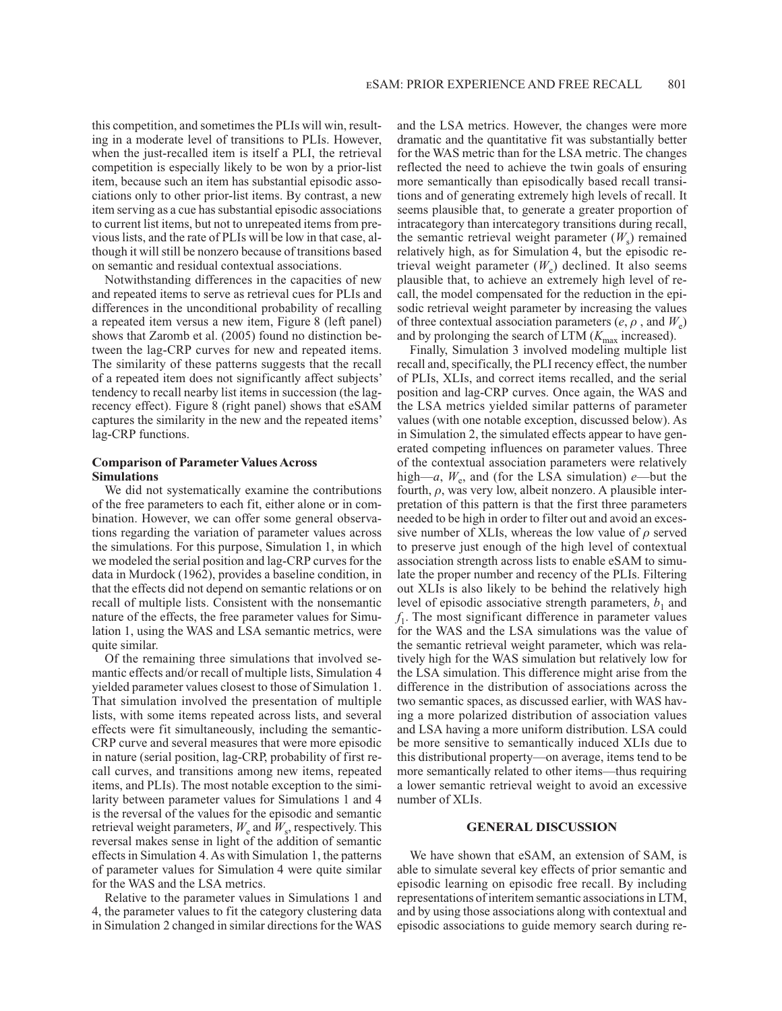this competition, and sometimes the PLIs will win, resulting in a moderate level of transitions to PLIs. However, when the just-recalled item is itself a PLI, the retrieval competition is especially likely to be won by a prior-list item, because such an item has substantial episodic associations only to other prior-list items. By contrast, a new item serving as a cue has substantial episodic associations to current list items, but not to unrepeated items from previous lists, and the rate of PLIs will be low in that case, although it will still be nonzero because of transitions based on semantic and residual contextual associations.

Notwithstanding differences in the capacities of new and repeated items to serve as retrieval cues for PLIs and differences in the unconditional probability of recalling a repeated item versus a new item, Figure 8 (left panel) shows that Zaromb et al. (2005) found no distinction between the lag-CRP curves for new and repeated items. The similarity of these patterns suggests that the recall of a repeated item does not significantly affect subjects' tendency to recall nearby list items in succession (the lagrecency effect). Figure 8 (right panel) shows that eSAM captures the similarity in the new and the repeated items' lag-CRP functions.

## **Comparison of Parameter Values Across Simulations**

We did not systematically examine the contributions of the free parameters to each fit, either alone or in combination. However, we can offer some general observations regarding the variation of parameter values across the simulations. For this purpose, Simulation 1, in which we modeled the serial position and lag-CRP curves for the data in Murdock (1962), provides a baseline condition, in that the effects did not depend on semantic relations or on recall of multiple lists. Consistent with the nonsemantic nature of the effects, the free parameter values for Simulation 1, using the WAS and LSA semantic metrics, were quite similar.

Of the remaining three simulations that involved semantic effects and/or recall of multiple lists, Simulation 4 yielded parameter values closest to those of Simulation 1. That simulation involved the presentation of multiple lists, with some items repeated across lists, and several effects were fit simultaneously, including the semantic-CRP curve and several measures that were more episodic in nature (serial position, lag-CRP, probability of first recall curves, and transitions among new items, repeated items, and PLIs). The most notable exception to the similarity between parameter values for Simulations 1 and 4 is the reversal of the values for the episodic and semantic retrieval weight parameters,  $W_e$  and  $W_s$ , respectively. This reversal makes sense in light of the addition of semantic effects in Simulation 4. As with Simulation 1, the patterns of parameter values for Simulation 4 were quite similar for the WAS and the LSA metrics.

Relative to the parameter values in Simulations 1 and 4, the parameter values to fit the category clustering data in Simulation 2 changed in similar directions for the WAS and the LSA metrics. However, the changes were more dramatic and the quantitative fit was substantially better for the WAS metric than for the LSA metric. The changes reflected the need to achieve the twin goals of ensuring more semantically than episodically based recall transitions and of generating extremely high levels of recall. It seems plausible that, to generate a greater proportion of intracategory than intercategory transitions during recall, the semantic retrieval weight parameter  $(W_s)$  remained relatively high, as for Simulation 4, but the episodic retrieval weight parameter  $(W_e)$  declined. It also seems plausible that, to achieve an extremely high level of recall, the model compensated for the reduction in the episodic retrieval weight parameter by increasing the values of three contextual association parameters (e,  $\rho$ , and  $W_{\rho}$ ) and by prolonging the search of LTM  $(K_{\text{max}}$  increased).

Finally, Simulation 3 involved modeling multiple list recall and, specifically, the PLI recency effect, the number of PLIs, XLIs, and correct items recalled, and the serial position and lag-CRP curves. Once again, the WAS and the LSA metrics yielded similar patterns of parameter values (with one notable exception, discussed below). As in Simulation 2, the simulated effects appear to have generated competing influences on parameter values. Three of the contextual association parameters were relatively high—a,  $W_e$ , and (for the LSA simulation) e—but the fourth,  $\rho$ , was very low, albeit nonzero. A plausible interpretation of this pattern is that the first three parameters needed to be high in order to filter out and avoid an excessive number of XLIs, whereas the low value of  $\rho$  served to preserve just enough of the high level of contextual association strength across lists to enable eSAM to simulate the proper number and recency of the PLIs. Filtering out XLIs is also likely to be behind the relatively high level of episodic associative strength parameters,  $b_1$  and  $f_1$ . The most significant difference in parameter values for the WAS and the LSA simulations was the value of the semantic retrieval weight parameter, which was relatively high for the WAS simulation but relatively low for the LSA simulation. This difference might arise from the difference in the distribution of associations across the two semantic spaces, as discussed earlier, with WAS having a more polarized distribution of association values and LSA having a more uniform distribution. LSA could be more sensitive to semantically induced XLIs due to this distributional property—on average, items tend to be more semantically related to other items—thus requiring a lower semantic retrieval weight to avoid an excessive number of XLIs.

### **GENERAL DISCUSSION**

We have shown that eSAM, an extension of SAM, is able to simulate several key effects of prior semantic and episodic learning on episodic free recall. By including representations of interitem semantic associations in LTM, and by using those associations along with contextual and episodic associations to guide memory search during re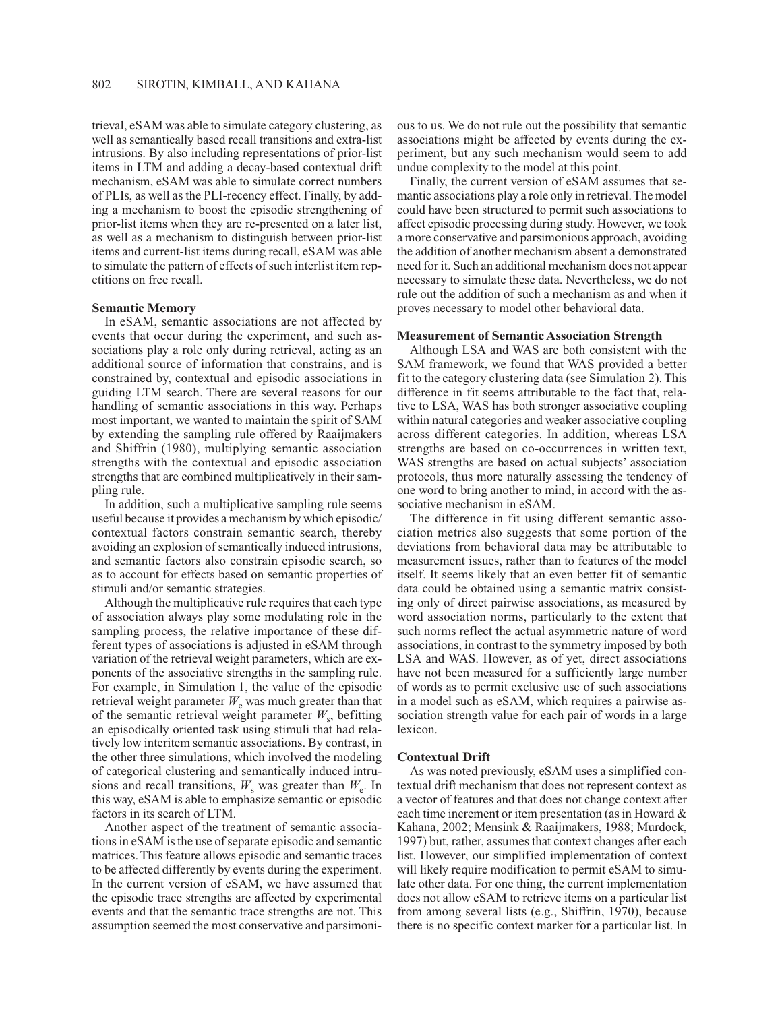trieval, eSAM was able to simulate category clustering, as well as semantically based recall transitions and extra-list intrusions. By also including representations of prior-list items in LTM and adding a decay-based contextual drift mechanism, eSAM was able to simulate correct numbers of PLIs, as well as the PLI-recency effect. Finally, by adding a mechanism to boost the episodic strengthening of prior-list items when they are re-presented on a later list, as well as a mechanism to distinguish between prior-list items and current-list items during recall, eSAM was able to simulate the pattern of effects of such interlist item repetitions on free recall.

#### **Semantic Memory**

In eSAM, semantic associations are not affected by events that occur during the experiment, and such associations play a role only during retrieval, acting as an additional source of information that constrains, and is constrained by, contextual and episodic associations in guiding LTM search. There are several reasons for our handling of semantic associations in this way. Perhaps most important, we wanted to maintain the spirit of SAM by extending the sampling rule offered by Raaijmakers and Shiffrin (1980), multiplying semantic association strengths with the contextual and episodic association strengths that are combined multiplicatively in their sampling rule.

In addition, such a multiplicative sampling rule seems useful because it provides a mechanism by which episodic/ contextual factors constrain semantic search, thereby avoiding an explosion of semantically induced intrusions, and semantic factors also constrain episodic search, so as to account for effects based on semantic properties of stimuli and/or semantic strategies.

Although the multiplicative rule requires that each type of association always play some modulating role in the sampling process, the relative importance of these different types of associations is adjusted in eSAM through variation of the retrieval weight parameters, which are exponents of the associative strengths in the sampling rule. For example, in Simulation 1, the value of the episodic retrieval weight parameter  $W_e$  was much greater than that of the semantic retrieval weight parameter  $W_s$ , befitting an episodically oriented task using stimuli that had relatively low interitem semantic associations. By contrast, in the other three simulations, which involved the modeling of categorical clustering and semantically induced intrusions and recall transitions,  $W_s$  was greater than  $W_e$ . In this way, eSAM is able to emphasize semantic or episodic factors in its search of LTM.

Another aspect of the treatment of semantic associations in eSAM is the use of separate episodic and semantic matrices. This feature allows episodic and semantic traces to be affected differently by events during the experiment. In the current version of eSAM, we have assumed that the episodic trace strengths are affected by experimental events and that the semantic trace strengths are not. This assumption seemed the most conservative and parsimonious to us. We do not rule out the possibility that semantic associations might be affected by events during the experiment, but any such mechanism would seem to add undue complexity to the model at this point.

Finally, the current version of eSAM assumes that semantic associations play a role only in retrieval. The model could have been structured to permit such associations to affect episodic processing during study. However, we took a more conservative and parsimonious approach, avoiding the addition of another mechanism absent a demonstrated need for it. Such an additional mechanism does not appear necessary to simulate these data. Nevertheless, we do not rule out the addition of such a mechanism as and when it proves necessary to model other behavioral data.

#### **Measurement of Semantic Association Strength**

Although LSA and WAS are both consistent with the SAM framework, we found that WAS provided a better fit to the category clustering data (see Simulation 2). This difference in fit seems attributable to the fact that, relative to LSA, WAS has both stronger associative coupling within natural categories and weaker associative coupling across different categories. In addition, whereas LSA strengths are based on co-occurrences in written text, WAS strengths are based on actual subjects' association protocols, thus more naturally assessing the tendency of one word to bring another to mind, in accord with the associative mechanism in eSAM.

The difference in fit using different semantic association metrics also suggests that some portion of the deviations from behavioral data may be attributable to measurement issues, rather than to features of the model itself. It seems likely that an even better fit of semantic data could be obtained using a semantic matrix consisting only of direct pairwise associations, as measured by word association norms, particularly to the extent that such norms reflect the actual asymmetric nature of word associations, in contrast to the symmetry imposed by both LSA and WAS. However, as of yet, direct associations have not been measured for a sufficiently large number of words as to permit exclusive use of such associations in a model such as eSAM, which requires a pairwise association strength value for each pair of words in a large lexicon.

#### **Contextual Drift**

As was noted previously, eSAM uses a simplified contextual drift mechanism that does not represent context as a vector of features and that does not change context after each time increment or item presentation (as in Howard & Kahana, 2002; Mensink & Raaijmakers, 1988; Murdock, 1997) but, rather, assumes that context changes after each list. However, our simplified implementation of context will likely require modification to permit eSAM to simulate other data. For one thing, the current implementation does not allow eSAM to retrieve items on a particular list from among several lists (e.g., Shiffrin, 1970), because there is no specific context marker for a particular list. In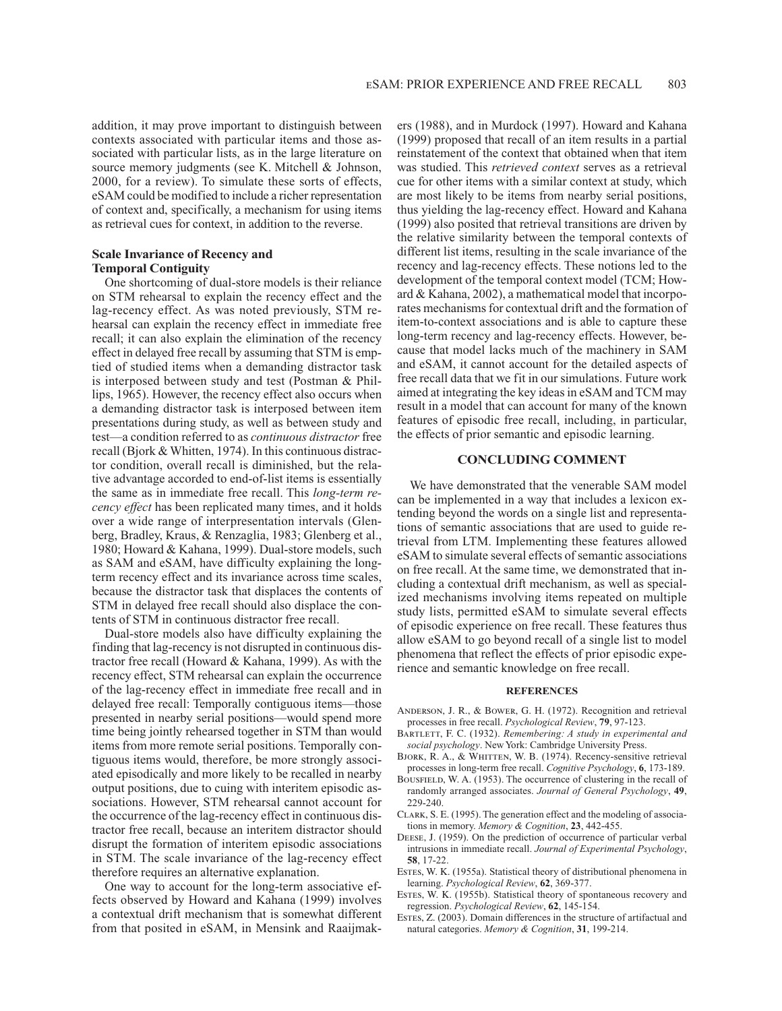addition, it may prove important to distinguish between contexts associated with particular items and those associated with particular lists, as in the large literature on source memory judgments (see K. Mitchell & Johnson, 2000, for a review). To simulate these sorts of effects, eSAM could be modified to include a richer representation of context and, specifically, a mechanism for using items as retrieval cues for context, in addition to the reverse.

## **Scale Invariance of Recency and Temporal Contiguity**

One shortcoming of dual-store models is their reliance on STM rehearsal to explain the recency effect and the lag-recency effect. As was noted previously, STM rehearsal can explain the recency effect in immediate free recall; it can also explain the elimination of the recency effect in delayed free recall by assuming that STM is emptied of studied items when a demanding distractor task is interposed between study and test (Postman & Phillips, 1965). However, the recency effect also occurs when a demanding distractor task is interposed between item presentations during study, as well as between study and test-a condition referred to as *continuous distractor* free recall (Bjork & Whitten, 1974). In this continuous distractor condition, overall recall is diminished, but the relative advantage accorded to end-of-list items is essentially the same as in immediate free recall. This *long-term re*cency effect has been replicated many times, and it holds over a wide range of interpresentation intervals (Glenberg, Bradley, Kraus, & Renzaglia, 1983; Glenberg et al., 1980; Howard & Kahana, 1999). Dual-store models, such as SAM and eSAM, have difficulty explaining the longterm recency effect and its invariance across time scales, because the distractor task that displaces the contents of STM in delayed free recall should also displace the contents of STM in continuous distractor free recall.

Dual-store models also have difficulty explaining the finding that lag-recency is not disrupted in continuous distractor free recall (Howard & Kahana, 1999). As with the recency effect, STM rehearsal can explain the occurrence of the lag-recency effect in immediate free recall and in delayed free recall: Temporally contiguous items—those presented in nearby serial positions—would spend more time being jointly rehearsed together in STM than would items from more remote serial positions. Temporally contiguous items would, therefore, be more strongly associated episodically and more likely to be recalled in nearby output positions, due to cuing with interitem episodic associations. However, STM rehearsal cannot account for the occurrence of the lag-recency effect in continuous distractor free recall, because an interitem distractor should disrupt the formation of interitem episodic associations in STM. The scale invariance of the lag-recency effect therefore requires an alternative explanation.

One way to account for the long-term associative effects observed by Howard and Kahana (1999) involves a contextual drift mechanism that is somewhat different from that posited in eSAM, in Mensink and Raaijmakers (1988), and in Murdock (1997). Howard and Kahana (1999) proposed that recall of an item results in a partial reinstatement of the context that obtained when that item was studied. This *retrieved context* serves as a retrieval cue for other items with a similar context at study, which are most likely to be items from nearby serial positions, thus yielding the lag-recency effect. Howard and Kahana (1999) also posited that retrieval transitions are driven by the relative similarity between the temporal contexts of different list items, resulting in the scale invariance of the recency and lag-recency effects. These notions led to the development of the temporal context model (TCM; Howard & Kahana, 2002), a mathematical model that incorporates mechanisms for contextual drift and the formation of item-to-context associations and is able to capture these long-term recency and lag-recency effects. However, because that model lacks much of the machinery in SAM and eSAM, it cannot account for the detailed aspects of free recall data that we fit in our simulations. Future work aimed at integrating the key ideas in eSAM and TCM may result in a model that can account for many of the known features of episodic free recall, including, in particular, the effects of prior semantic and episodic learning.

## **CONCLUDING COMMENT**

We have demonstrated that the venerable SAM model can be implemented in a way that includes a lexicon extending beyond the words on a single list and representations of semantic associations that are used to guide retrieval from LTM. Implementing these features allowed eSAM to simulate several effects of semantic associations on free recall. At the same time, we demonstrated that including a contextual drift mechanism, as well as specialized mechanisms involving items repeated on multiple study lists, permitted eSAM to simulate several effects of episodic experience on free recall. These features thus allow eSAM to go beyond recall of a single list to model phenomena that reflect the effects of prior episodic experience and semantic knowledge on free recall.

#### **REFERENCES**

- ANDERSON, J. R., & BOWER, G. H. (1972). Recognition and retrieval processes in free recall. Psychological Review, 79, 97-123.
- BARTLETT, F. C. (1932). Remembering: A study in experimental and social psychology. New York: Cambridge University Press.
- BJORK, R. A., & WHITTEN, W. B. (1974). Recency-sensitive retrieval processes in long-term free recall. Cognitive Psychology, 6, 173-189.
- BOUSFIELD, W. A. (1953). The occurrence of clustering in the recall of randomly arranged associates. Journal of General Psychology, 49, 229-240.
- CLARK, S. E. (1995). The generation effect and the modeling of associations in memory. Memory & Cognition, 23, 442-455.
- DEESE, J. (1959). On the prediction of occurrence of particular verbal intrusions in immediate recall. Journal of Experimental Psychology, 58, 17-22.
- ESTES, W. K. (1955a). Statistical theory of distributional phenomena in learning. Psychological Review, 62, 369-377.
- ESTES, W. K. (1955b). Statistical theory of spontaneous recovery and regression. Psychological Review, 62, 145-154.
- ESTES, Z. (2003). Domain differences in the structure of artifactual and natural categories. Memory & Cognition, 31, 199-214.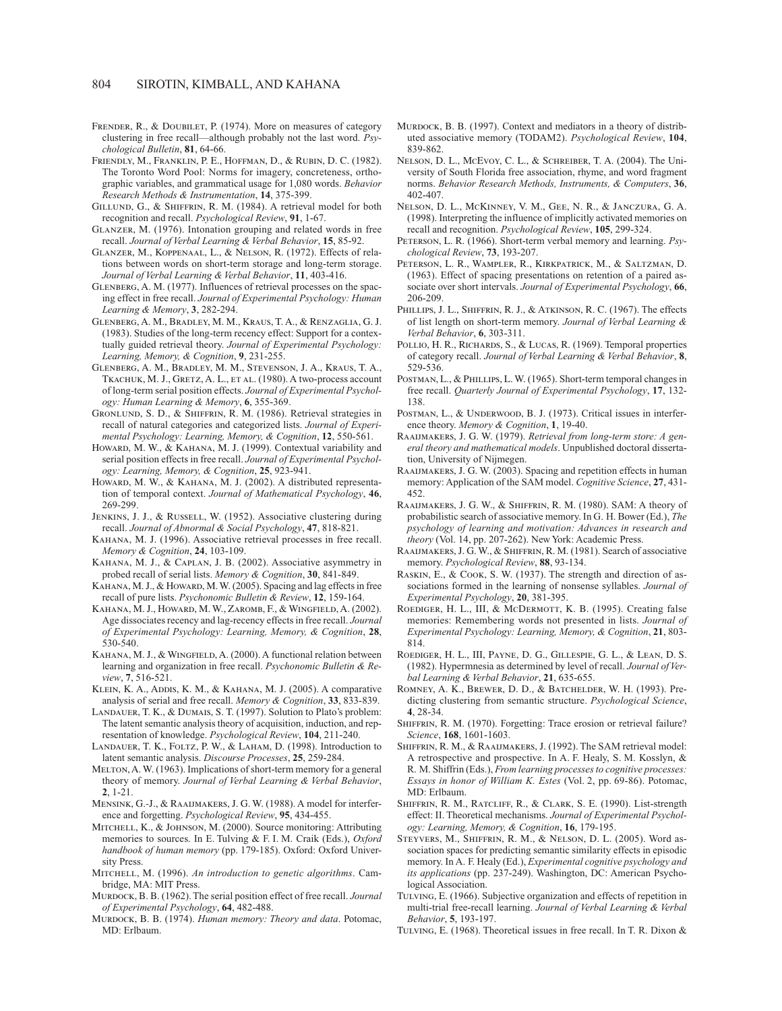- FRENDER, R., & DOUBILET, P. (1974). More on measures of category clustering in free recall—although probably not the last word. Psychological Bulletin, 81, 64-66.
- FRIENDLY, M., FRANKLIN, P. E., HOFFMAN, D., & RUBIN, D. C. (1982). The Toronto Word Pool: Norms for imagery, concreteness, orthographic variables, and grammatical usage for 1,080 words. Behavior Research Methods & Instrumentation, 14, 375-399.
- GILLUND, G., & SHIFFRIN, R. M. (1984). A retrieval model for both recognition and recall. Psychological Review, 91, 1-67.
- GLANZER, M. (1976). Intonation grouping and related words in free recall. Journal of Verbal Learning & Verbal Behavior, 15, 85-92.
- GLANZER, M., KOPPENAAL, L., & NELSON, R. (1972). Effects of relations between words on short-term storage and long-term storage. Journal of Verbal Learning & Verbal Behavior, 11, 403-416.
- GLENBERG, A. M. (1977). Influences of retrieval processes on the spacing effect in free recall. Journal of Experimental Psychology: Human Learning & Memory, 3, 282-294.
- GLENBERG, A. M., BRADLEY, M. M., KRAUS, T. A., & RENZAGLIA, G. J. (1983). Studies of the long-term recency effect: Support for a contextually guided retrieval theory. Journal of Experimental Psychology: Learning, Memory, & Cognition, 9, 231-255.
- GLENBERG, A. M., BRADLEY, M. M., STEVENSON, J. A., KRAUS, T. A., TKACHUK, M. J., GRETZ, A. L., ET AL. (1980). A two-process account of long-term serial position effects. Journal of Experimental Psychology: Human Learning & Memory, 6, 355-369.
- GRONLUND, S. D., & SHIFFRIN, R. M. (1986). Retrieval strategies in recall of natural categories and categorized lists. Journal of Experimental Psychology: Learning, Memory, & Cognition, 12, 550-561.
- HOWARD, M. W., & KAHANA, M. J. (1999). Contextual variability and serial position effects in free recall. Journal of Experimental Psychology: Learning, Memory, & Cognition, 25, 923-941.
- HOWARD, M. W., & KAHANA, M. J. (2002). A distributed representation of temporal context. Journal of Mathematical Psychology, 46, 269-299.
- JENKINS, J. J., & RUSSELL, W. (1952). Associative clustering during recall. Journal of Abnormal & Social Psychology, 47, 818-821.
- KAHANA, M. J. (1996). Associative retrieval processes in free recall. Memory & Cognition, 24, 103-109.
- KAHANA, M. J., & CAPLAN, J. B. (2002). Associative asymmetry in probed recall of serial lists. Memory & Cognition, 30, 841-849.
- KAHANA, M. J., & HOWARD, M. W. (2005). Spacing and lag effects in free recall of pure lists. Psychonomic Bulletin & Review, 12, 159-164.
- KAHANA, M. J., HOWARD, M. W., ZAROMB, F., & WINGFIELD, A. (2002). Age dissociates recency and lag-recency effects in free recall. Journal of Experimental Psychology: Learning, Memory, & Cognition, 28, 530-540.
- KAHANA, M. J., & WINGFIELD, A. (2000). A functional relation between learning and organization in free recall. Psychonomic Bulletin & Review, 7, 516-521.
- KLEIN, K. A., ADDIS, K. M., & KAHANA, M. J. (2005). A comparative analysis of serial and free recall. Memory & Cognition, 33, 833-839.
- LANDAUER, T. K., & DUMAIS, S. T. (1997). Solution to Plato's problem: The latent semantic analysis theory of acquisition, induction, and representation of knowledge. Psychological Review, 104, 211-240.
- LANDAUER, T. K., FOLTZ, P. W., & LAHAM, D. (1998). Introduction to latent semantic analysis. Discourse Processes, 25, 259-284.
- MELTON, A. W. (1963). Implications of short-term memory for a general theory of memory. Journal of Verbal Learning & Verbal Behavior,  $2, 1 - 21.$
- MENSINK, G.-J., & RAAIJMAKERS, J. G. W. (1988). A model for interference and forgetting. Psychological Review, 95, 434-455.
- MITCHELL, K., & JOHNSON, M. (2000). Source monitoring: Attributing memories to sources. In E. Tulving & F. I. M. Craik (Eds.), Oxford handbook of human memory (pp. 179-185). Oxford: Oxford University Press.
- MITCHELL, M. (1996). An introduction to genetic algorithms. Cambridge, MA: MIT Press.
- MURDOCK, B. B. (1962). The serial position effect of free recall. Journal of Experimental Psychology, 64, 482-488.
- MURDOCK, B. B. (1974). Human memory: Theory and data. Potomac, MD: Erlbaum.
- MURDOCK, B. B. (1997). Context and mediators in a theory of distributed associative memory (TODAM2). Psychological Review, 104, 839-862
- NELSON, D. L., MCEVOY, C. L., & SCHREIBER, T. A. (2004). The University of South Florida free association, rhyme, and word fragment norms. Behavior Research Methods, Instruments, & Computers, 36, 402-407.
- NELSON, D. L., MCKINNEY, V. M., GEE, N. R., & JANCZURA, G. A. (1998). Interpreting the influence of implicitly activated memories on recall and recognition. Psychological Review, 105, 299-324.
- PETERSON, L. R. (1966). Short-term verbal memory and learning. Psychological Review, 73, 193-207.
- PETERSON, L. R., WAMPLER, R., KIRKPATRICK, M., & SALTZMAN, D. (1963). Effect of spacing presentations on retention of a paired associate over short intervals. Journal of Experimental Psychology, 66, 206-209.
- PHILLIPS, J. L., SHIFFRIN, R. J., & ATKINSON, R. C. (1967). The effects of list length on short-term memory. Journal of Verbal Learning & Verbal Behavior, 6, 303-311.
- POLLIO, H. R., RICHARDS, S., & LUCAS, R. (1969). Temporal properties of category recall. Journal of Verbal Learning & Verbal Behavior, 8, 529-536
- POSTMAN, L., & PHILLIPS, L. W. (1965). Short-term temporal changes in free recall. Quarterly Journal of Experimental Psychology, 17, 132-138
- POSTMAN, L., & UNDERWOOD, B. J. (1973). Critical issues in interference theory. Memory & Cognition, 1, 19-40.
- RAAIJMAKERS, J. G. W. (1979). Retrieval from long-term store: A general theory and mathematical models. Unpublished doctoral dissertation, University of Nijmegen.
- RAAIJMAKERS, J. G. W. (2003). Spacing and repetition effects in human memory: Application of the SAM model. Cognitive Science, 27, 431-452.
- RAAIJMAKERS, J. G. W., & SHIFFRIN, R. M. (1980). SAM: A theory of probabilistic search of associative memory. In G. H. Bower (Ed.), The psychology of learning and motivation: Advances in research and theory (Vol. 14, pp. 207-262). New York: Academic Press.
- RAAIJMAKERS, J. G. W., & SHIFFRIN, R. M. (1981). Search of associative memory. Psychological Review, 88, 93-134.
- RASKIN, E., & COOK, S. W. (1937). The strength and direction of associations formed in the learning of nonsense syllables. Journal of Experimental Psychology, 20, 381-395.
- ROEDIGER, H. L., III, & MCDERMOTT, K. B. (1995). Creating false memories: Remembering words not presented in lists. Journal of Experimental Psychology: Learning, Memory, & Cognition, 21, 803-814
- ROEDIGER, H. L., III, PAYNE, D. G., GILLESPIE, G. L., & LEAN, D. S. (1982). Hypermnesia as determined by level of recall. Journal of Verbal Learning & Verbal Behavior, 21, 635-655.
- ROMNEY, A. K., BREWER, D. D., & BATCHELDER, W. H. (1993). Predicting clustering from semantic structure. Psychological Science, 4.28-34.
- SHIFFRIN, R. M. (1970). Forgetting: Trace erosion or retrieval failure? Science, 168, 1601-1603.
- SHIFFRIN, R. M., & RAAIJMAKERS, J. (1992). The SAM retrieval model: A retrospective and prospective. In A. F. Healy, S. M. Kosslyn, & R. M. Shiffrin (Eds.), From learning processes to cognitive processes: Essays in honor of William K. Estes (Vol. 2, pp. 69-86). Potomac, MD: Erlbaum.
- SHIFFRIN, R. M., RATCLIFF, R., & CLARK, S. E. (1990). List-strength effect: II. Theoretical mechanisms. Journal of Experimental Psychology: Learning, Memory, & Cognition, 16, 179-195.
- STEYVERS, M., SHIFFRIN, R. M., & NELSON, D. L. (2005). Word association spaces for predicting semantic similarity effects in episodic memory. In A. F. Healy (Ed.), Experimental cognitive psychology and its applications (pp. 237-249). Washington, DC: American Psychological Association.
- TULVING, E. (1966). Subjective organization and effects of repetition in multi-trial free-recall learning. Journal of Verbal Learning & Verbal Behavior, 5, 193-197.
- TULVING, E. (1968). Theoretical issues in free recall. In T. R. Dixon &